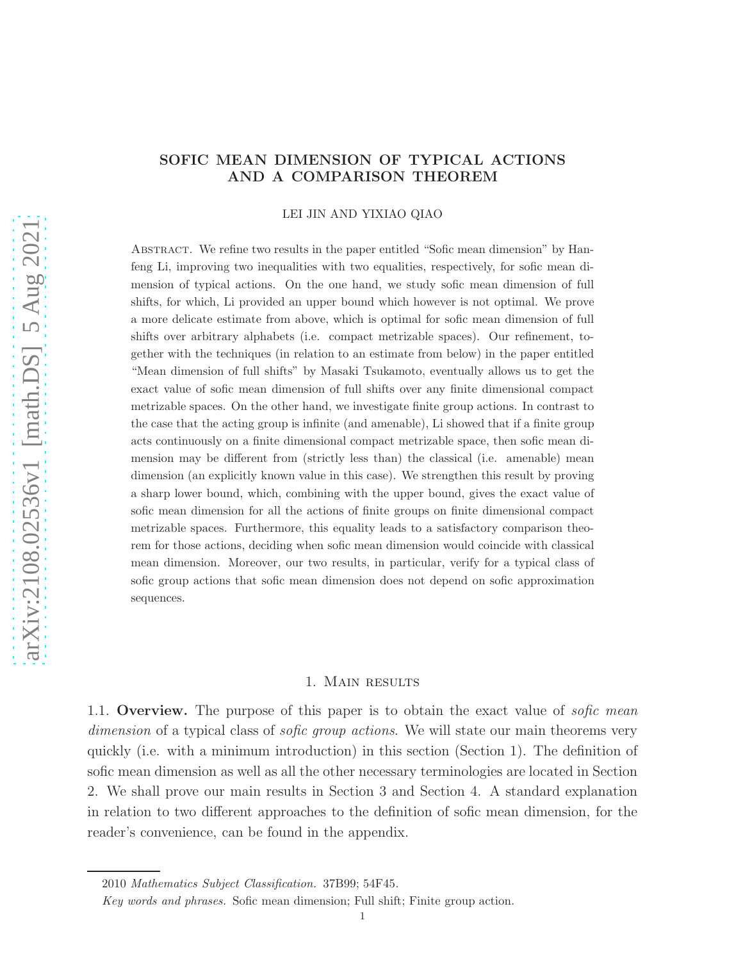# SOFIC MEAN DIMENSION OF TYPICAL ACTIONS AND A COMPARISON THEOREM

LEI JIN AND YIXIAO QIAO

Abstract. We refine two results in the paper entitled "Sofic mean dimension" by Hanfeng Li, improving two inequalities with two equalities, respectively, for sofic mean dimension of typical actions. On the one hand, we study sofic mean dimension of full shifts, for which, Li provided an upper bound which however is not optimal. We prove a more delicate estimate from above, which is optimal for sofic mean dimension of full shifts over arbitrary alphabets (i.e. compact metrizable spaces). Our refinement, together with the techniques (in relation to an estimate from below) in the paper entitled "Mean dimension of full shifts" by Masaki Tsukamoto, eventually allows us to get the exact value of sofic mean dimension of full shifts over any finite dimensional compact metrizable spaces. On the other hand, we investigate finite group actions. In contrast to the case that the acting group is infinite (and amenable), Li showed that if a finite group acts continuously on a finite dimensional compact metrizable space, then sofic mean dimension may be different from (strictly less than) the classical (i.e. amenable) mean dimension (an explicitly known value in this case). We strengthen this result by proving a sharp lower bound, which, combining with the upper bound, gives the exact value of sofic mean dimension for all the actions of finite groups on finite dimensional compact metrizable spaces. Furthermore, this equality leads to a satisfactory comparison theorem for those actions, deciding when sofic mean dimension would coincide with classical mean dimension. Moreover, our two results, in particular, verify for a typical class of sofic group actions that sofic mean dimension does not depend on sofic approximation sequences.

# 1. Main results

1.1. Overview. The purpose of this paper is to obtain the exact value of *sofic mean dimension* of a typical class of *sofic group actions*. We will state our main theorems very quickly (i.e. with a minimum introduction) in this section (Section 1). The definition of sofic mean dimension as well as all the other necessary terminologies are located in Section 2. We shall prove our main results in Section 3 and Section 4. A standard explanation in relation to two different approaches to the definition of sofic mean dimension, for the reader's convenience, can be found in the appendix.

<sup>2010</sup> Mathematics Subject Classification. 37B99; 54F45.

Key words and phrases. Sofic mean dimension; Full shift; Finite group action.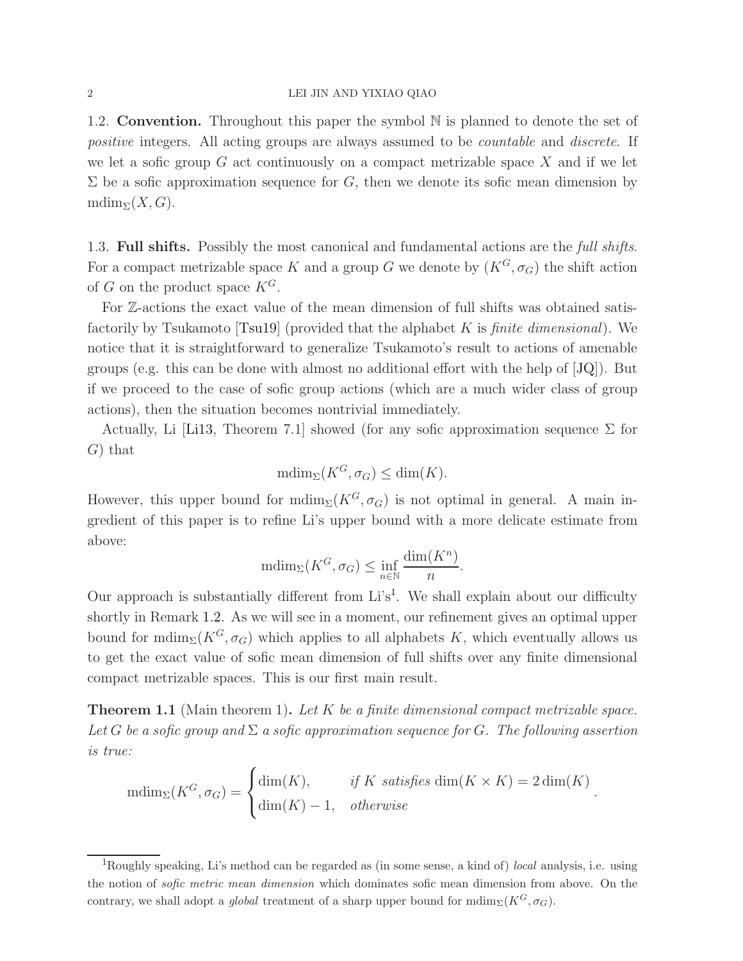### 2 LEI JIN AND YIXIAO QIAO

1.2. Convention. Throughout this paper the symbol N is planned to denote the set of *positive* integers. All acting groups are always assumed to be *countable* and *discrete*. If we let a sofic group  $G$  act continuously on a compact metrizable space  $X$  and if we let  $\Sigma$  be a sofic approximation sequence for G, then we denote its sofic mean dimension by  $\text{mdim}_{\Sigma}(X, G)$ .

1.3. Full shifts. Possibly the most canonical and fundamental actions are the *full shifts*. For a compact metrizable space K and a group G we denote by  $(K^G, \sigma_G)$  the shift action of G on the product space  $K^G$ .

For Z-actions the exact value of the mean dimension of full shifts was obtained satisfactorily by Tsukamoto [\[Tsu19\]](#page-20-0) (provided that the alphabet K is *finite dimensional*). We notice that it is straightforward to generalize Tsukamoto's result to actions of amenable groups (e.g. this can be done with almost no additional effort with the help of [\[JQ\]](#page-20-1)). But if we proceed to the case of sofic group actions (which are a much wider class of group actions), then the situation becomes nontrivial immediately.

Actually, Li [\[Li13,](#page-20-2) Theorem 7.1] showed (for any sofic approximation sequence  $\Sigma$  for G) that

$$
\mathrm{mdim}_{\Sigma}(K^G, \sigma_G) \le \dim(K).
$$

However, this upper bound for  $\text{mdim}_{\Sigma}(K^G, \sigma_G)$  is not optimal in general. A main ingredient of this paper is to refine Li's upper bound with a more delicate estimate from above:

$$
\mathrm{mdim}_{\Sigma}(K^G, \sigma_G) \le \inf_{n \in \mathbb{N}} \frac{\mathrm{dim}(K^n)}{n}.
$$

Our approach is substantially different from  $Li's<sup>1</sup>$  $Li's<sup>1</sup>$  $Li's<sup>1</sup>$ . We shall explain about our difficulty shortly in Remark [1.2.](#page-2-0) As we will see in a moment, our refinement gives an optimal upper bound for mdim<sub>Σ</sub>( $K^G$ ,  $\sigma_G$ ) which applies to all alphabets K, which eventually allows us to get the exact value of sofic mean dimension of full shifts over any finite dimensional compact metrizable spaces. This is our first main result.

<span id="page-1-1"></span>Theorem 1.1 (Main theorem 1). *Let* K *be a finite dimensional compact metrizable space.* Let G be a sofic group and  $\Sigma$  a sofic approximation sequence for G. The following assertion *is true:*

$$
\text{mdim}_{\Sigma}(K^G, \sigma_G) = \begin{cases} \dim(K), & \text{if } K \text{ satisfies } \dim(K \times K) = 2 \dim(K) \\ \dim(K) - 1, & \text{otherwise} \end{cases}.
$$

<span id="page-1-0"></span><sup>&</sup>lt;sup>1</sup>Roughly speaking, Li's method can be regarded as (in some sense, a kind of) *local* analysis, i.e. using the notion of sofic metric mean dimension which dominates sofic mean dimension from above. On the contrary, we shall adopt a *global* treatment of a sharp upper bound for mdim<sub> $\Sigma$ </sub>( $K^G$ ,  $\sigma_G$ ).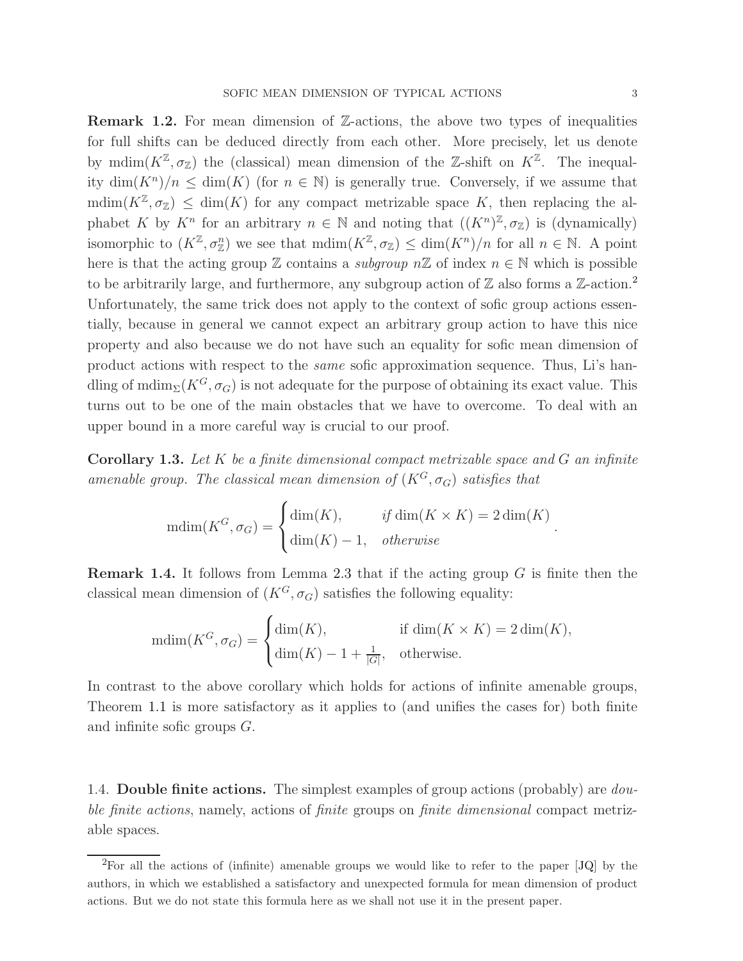<span id="page-2-0"></span>Remark 1.2. For mean dimension of Z-actions, the above two types of inequalities for full shifts can be deduced directly from each other. More precisely, let us denote by mdim $(K^{\mathbb{Z}}, \sigma_{\mathbb{Z}})$  the (classical) mean dimension of the Z-shift on  $K^{\mathbb{Z}}$ . The inequality  $\dim(K^n)/n \leq \dim(K)$  (for  $n \in \mathbb{N}$ ) is generally true. Conversely, if we assume that  $\text{mdim}(K^{\mathbb{Z}}, \sigma_{\mathbb{Z}}) \leq \text{dim}(K)$  for any compact metrizable space K, then replacing the alphabet K by  $K^n$  for an arbitrary  $n \in \mathbb{N}$  and noting that  $((K^n)^{\mathbb{Z}}, \sigma_{\mathbb{Z}})$  is (dynamically) isomorphic to  $(K^{\mathbb{Z}}, \sigma_{\mathbb{Z}}^n)$  we see that  $\text{mdim}(K^{\mathbb{Z}}, \sigma_{\mathbb{Z}}) \leq \dim(K^n)/n$  for all  $n \in \mathbb{N}$ . A point here is that the acting group  $\mathbb Z$  contains a *subgroup*  $n\mathbb Z$  of index  $n \in \mathbb N$  which is possible to be arbitrarily large, and furthermore, any subgroup action of  $\mathbb Z$  also forms a  $\mathbb Z$ -action.<sup>[2](#page-2-1)</sup> Unfortunately, the same trick does not apply to the context of sofic group actions essentially, because in general we cannot expect an arbitrary group action to have this nice property and also because we do not have such an equality for sofic mean dimension of product actions with respect to the *same* sofic approximation sequence. Thus, Li's handling of mdim<sub>Σ</sub>( $K^G$ ,  $\sigma_G$ ) is not adequate for the purpose of obtaining its exact value. This turns out to be one of the main obstacles that we have to overcome. To deal with an upper bound in a more careful way is crucial to our proof.

Corollary 1.3. *Let* K *be a finite dimensional compact metrizable space and* G *an infinite amenable group. The classical mean dimension of*  $(K^G, \sigma_G)$  *satisfies that* 

$$
\text{mdim}(K^G, \sigma_G) = \begin{cases} \dim(K), & \text{if } \dim(K \times K) = 2\dim(K) \\ \dim(K) - 1, & \text{otherwise} \end{cases}
$$

**Remark 1.4.** It follows from Lemma [2.3](#page-6-0) that if the acting group  $G$  is finite then the classical mean dimension of  $(K^G, \sigma_G)$  satisfies the following equality:

$$
\text{mdim}(K^G, \sigma_G) = \begin{cases} \dim(K), & \text{if } \dim(K \times K) = 2\dim(K), \\ \dim(K) - 1 + \frac{1}{|G|}, & \text{otherwise.} \end{cases}
$$

In contrast to the above corollary which holds for actions of infinite amenable groups, Theorem [1.1](#page-1-1) is more satisfactory as it applies to (and unifies the cases for) both finite and infinite sofic groups G.

1.4. Double finite actions. The simplest examples of group actions (probably) are *double finite actions*, namely, actions of *finite* groups on *finite dimensional* compact metrizable spaces.

.

<span id="page-2-1"></span><sup>2</sup>For all the actions of (infinite) amenable groups we would like to refer to the paper [\[JQ\]](#page-20-1) by the authors, in which we established a satisfactory and unexpected formula for mean dimension of product actions. But we do not state this formula here as we shall not use it in the present paper.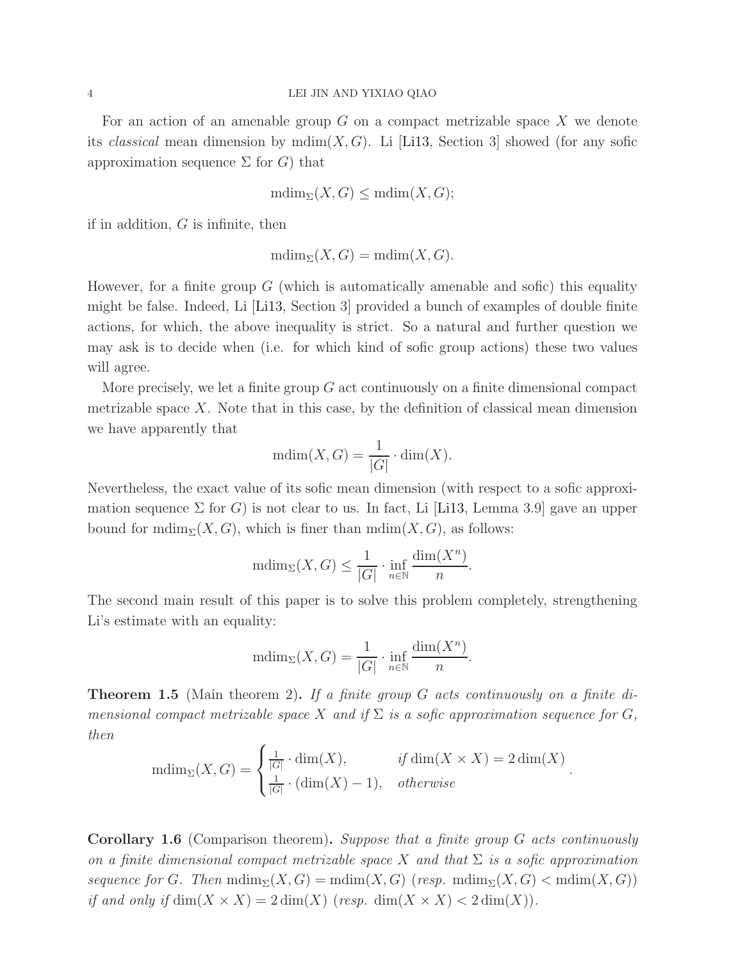For an action of an amenable group  $G$  on a compact metrizable space  $X$  we denote its *classical* mean dimension by  $\text{mdim}(X, G)$ . Li [\[Li13,](#page-20-2) Section 3] showed (for any sofic approximation sequence  $\Sigma$  for  $G$ ) that

$$
\mathrm{mdim}_{\Sigma}(X,G)\leq\mathrm{mdim}(X,G);
$$

if in addition,  $G$  is infinite, then

$$
\mathrm{mdim}_{\Sigma}(X,G)=\mathrm{mdim}(X,G).
$$

However, for a finite group  $G$  (which is automatically amenable and sofic) this equality might be false. Indeed, Li [\[Li13,](#page-20-2) Section 3] provided a bunch of examples of double finite actions, for which, the above inequality is strict. So a natural and further question we may ask is to decide when (i.e. for which kind of sofic group actions) these two values will agree.

More precisely, we let a finite group  $G$  act continuously on a finite dimensional compact metrizable space  $X$ . Note that in this case, by the definition of classical mean dimension we have apparently that

$$
mdim(X, G) = \frac{1}{|G|} \cdot \dim(X).
$$

Nevertheless, the exact value of its sofic mean dimension (with respect to a sofic approximation sequence  $\Sigma$  for G) is not clear to us. In fact, Li [\[Li13,](#page-20-2) Lemma 3.9] gave an upper bound for  $\text{mdim}_{\Sigma}(X, G)$ , which is finer than  $\text{mdim}(X, G)$ , as follows:

$$
\mathrm{mdim}_{\Sigma}(X,G) \le \frac{1}{|G|} \cdot \inf_{n \in \mathbb{N}} \frac{\dim(X^n)}{n}.
$$

The second main result of this paper is to solve this problem completely, strengthening Li's estimate with an equality:

$$
\text{mdim}_{\Sigma}(X, G) = \frac{1}{|G|} \cdot \inf_{n \in \mathbb{N}} \frac{\dim(X^n)}{n}.
$$

<span id="page-3-0"></span>Theorem 1.5 (Main theorem 2). *If a finite group* G *acts continuously on a finite dimensional compact metrizable space* X and if  $\Sigma$  *is a sofic approximation sequence for* G, *then*

$$
\text{mdim}_{\Sigma}(X, G) = \begin{cases} \frac{1}{|G|} \cdot \text{dim}(X), & \text{if } \text{dim}(X \times X) = 2 \text{dim}(X) \\ \frac{1}{|G|} \cdot (\text{dim}(X) - 1), & \text{otherwise} \end{cases}.
$$

Corollary 1.6 (Comparison theorem). *Suppose that a finite group* G *acts continuously on a finite dimensional compact metrizable space* X *and that* Σ *is a sofic approximation sequence for* G. Then  $\text{mdim}_{\Sigma}(X, G) = \text{mdim}(X, G)$  (*resp.*  $\text{mdim}_{\Sigma}(X, G) < \text{mdim}(X, G)$ ) *if and only if*  $\dim(X \times X) = 2 \dim(X)$  (*resp.*  $\dim(X \times X) < 2 \dim(X)$ ).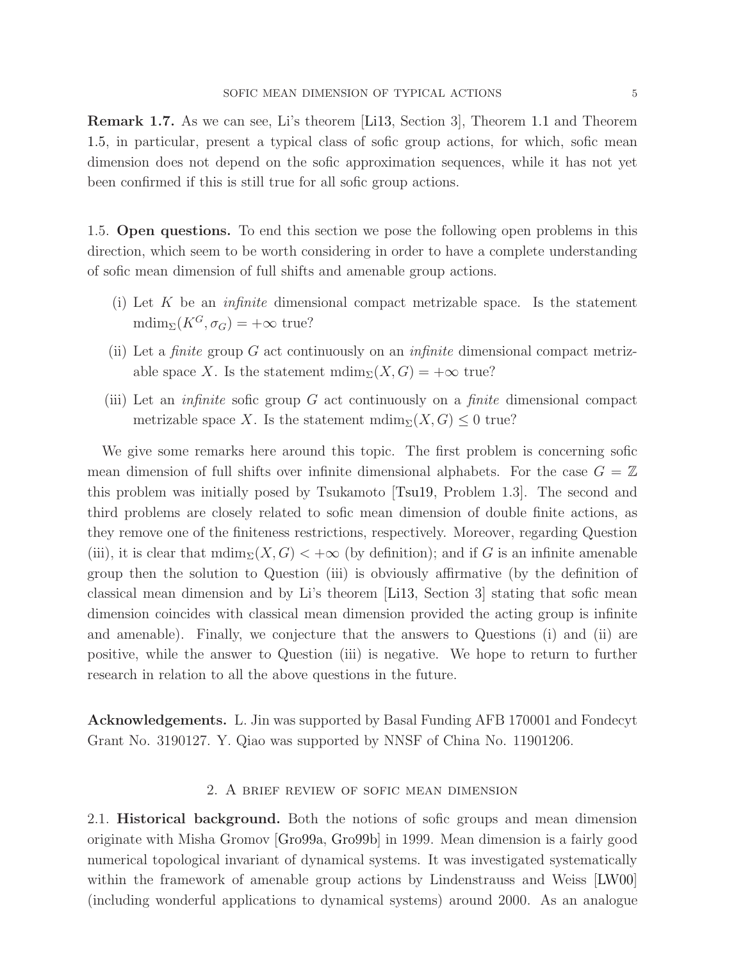Remark 1.7. As we can see, Li's theorem [\[Li13,](#page-20-2) Section 3], Theorem [1.1](#page-1-1) and Theorem [1.5,](#page-3-0) in particular, present a typical class of sofic group actions, for which, sofic mean dimension does not depend on the sofic approximation sequences, while it has not yet been confirmed if this is still true for all sofic group actions.

1.5. Open questions. To end this section we pose the following open problems in this direction, which seem to be worth considering in order to have a complete understanding of sofic mean dimension of full shifts and amenable group actions.

- (i) Let K be an *infinite* dimensional compact metrizable space. Is the statement  $\text{mdim}_{\Sigma}(K^G, \sigma_G) = +\infty$  true?
- (ii) Let a *finite* group G act continuously on an *infinite* dimensional compact metrizable space X. Is the statement  $\text{mdim}_{\Sigma}(X, G) = +\infty$  true?
- (iii) Let an *infinite* sofic group G act continuously on a *finite* dimensional compact metrizable space X. Is the statement  $\text{mdim}_{\Sigma}(X, G) \leq 0$  true?

We give some remarks here around this topic. The first problem is concerning sofic mean dimension of full shifts over infinite dimensional alphabets. For the case  $G = \mathbb{Z}$ this problem was initially posed by Tsukamoto [\[Tsu19,](#page-20-0) Problem 1.3]. The second and third problems are closely related to sofic mean dimension of double finite actions, as they remove one of the finiteness restrictions, respectively. Moreover, regarding Question (iii), it is clear that  $\text{mdim}_{\Sigma}(X, G) < +\infty$  (by definition); and if G is an infinite amenable group then the solution to Question (iii) is obviously affirmative (by the definition of classical mean dimension and by Li's theorem [\[Li13,](#page-20-2) Section 3] stating that sofic mean dimension coincides with classical mean dimension provided the acting group is infinite and amenable). Finally, we conjecture that the answers to Questions (i) and (ii) are positive, while the answer to Question (iii) is negative. We hope to return to further research in relation to all the above questions in the future.

Acknowledgements. L. Jin was supported by Basal Funding AFB 170001 and Fondecyt Grant No. 3190127. Y. Qiao was supported by NNSF of China No. 11901206.

## 2. A brief review of sofic mean dimension

2.1. Historical background. Both the notions of sofic groups and mean dimension originate with Misha Gromov [\[Gro99a,](#page-20-3) [Gro99b\]](#page-20-4) in 1999. Mean dimension is a fairly good numerical topological invariant of dynamical systems. It was investigated systematically within the framework of amenable group actions by Lindenstrauss and Weiss [\[LW00\]](#page-20-5) (including wonderful applications to dynamical systems) around 2000. As an analogue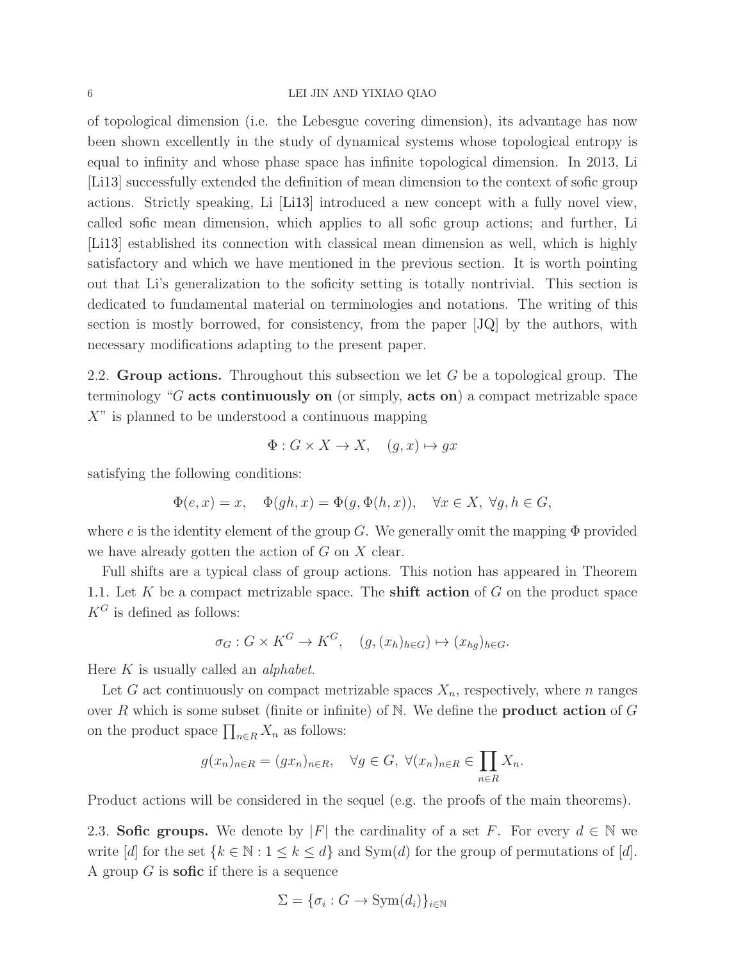### 6 LEI JIN AND YIXIAO QIAO

of topological dimension (i.e. the Lebesgue covering dimension), its advantage has now been shown excellently in the study of dynamical systems whose topological entropy is equal to infinity and whose phase space has infinite topological dimension. In 2013, Li [\[Li13\]](#page-20-2) successfully extended the definition of mean dimension to the context of sofic group actions. Strictly speaking, Li [\[Li13\]](#page-20-2) introduced a new concept with a fully novel view, called sofic mean dimension, which applies to all sofic group actions; and further, Li [\[Li13\]](#page-20-2) established its connection with classical mean dimension as well, which is highly satisfactory and which we have mentioned in the previous section. It is worth pointing out that Li's generalization to the soficity setting is totally nontrivial. This section is dedicated to fundamental material on terminologies and notations. The writing of this section is mostly borrowed, for consistency, from the paper [\[JQ\]](#page-20-1) by the authors, with necessary modifications adapting to the present paper.

2.2. Group actions. Throughout this subsection we let  $G$  be a topological group. The terminology "G acts continuously on (or simply, acts on) a compact metrizable space  $X^{\prime\prime}$  is planned to be understood a continuous mapping

$$
\Phi: G \times X \to X, \quad (g, x) \mapsto gx
$$

satisfying the following conditions:

$$
\Phi(e, x) = x, \quad \Phi(gh, x) = \Phi(g, \Phi(h, x)), \quad \forall x \in X, \ \forall g, h \in G,
$$

where e is the identity element of the group G. We generally omit the mapping  $\Phi$  provided we have already gotten the action of  $G$  on  $X$  clear.

Full shifts are a typical class of group actions. This notion has appeared in Theorem [1.1.](#page-1-1) Let  $K$  be a compact metrizable space. The **shift action** of  $G$  on the product space  $K^G$  is defined as follows:

$$
\sigma_G: G \times K^G \to K^G, \quad (g, (x_h)_{h \in G}) \mapsto (x_{hg})_{h \in G}.
$$

Here K is usually called an *alphabet*.

Let G act continuously on compact metrizable spaces  $X_n$ , respectively, where n ranges over R which is some subset (finite or infinite) of N. We define the **product action** of G on the product space  $\prod_{n\in R} X_n$  as follows:

$$
g(x_n)_{n \in R} = (gx_n)_{n \in R}, \quad \forall g \in G, \ \forall (x_n)_{n \in R} \in \prod_{n \in R} X_n.
$$

Product actions will be considered in the sequel (e.g. the proofs of the main theorems).

2.3. Sofic groups. We denote by |F| the cardinality of a set F. For every  $d \in \mathbb{N}$  we write [d] for the set  $\{k \in \mathbb{N} : 1 \leq k \leq d\}$  and  $Sym(d)$  for the group of permutations of [d]. A group  $G$  is **sofic** if there is a sequence

$$
\Sigma = \{\sigma_i : G \to \text{Sym}(d_i)\}_{i \in \mathbb{N}}
$$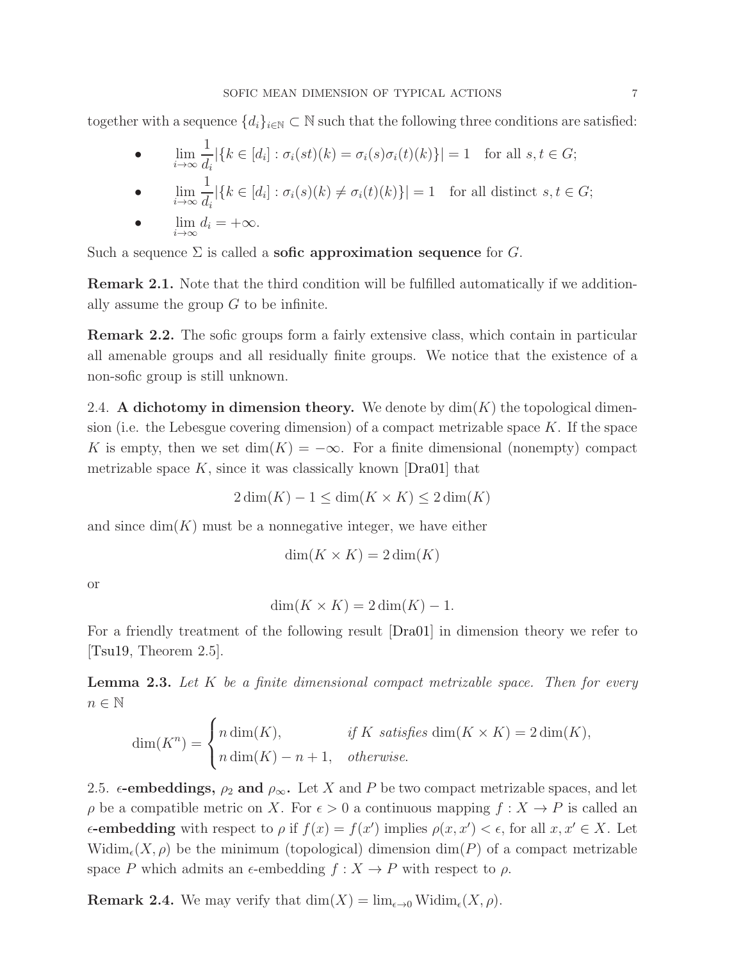together with a sequence  $\{d_i\}_{i\in\mathbb{N}}\subset\mathbb{N}$  such that the following three conditions are satisfied:

$$
\bullet \qquad \lim_{i \to \infty} \frac{1}{d_i} |\{k \in [d_i] : \sigma_i(st)(k) = \sigma_i(s)\sigma_i(t)(k)\}| = 1 \quad \text{for all } s, t \in G;
$$

$$
\bullet \qquad \lim_{i \to \infty} \frac{1}{d_i} |\{k \in [d_i] : \sigma_i(s)(k) \neq \sigma_i(t)(k)\}| = 1 \quad \text{for all distinct } s, t \in G;
$$

• 
$$
\lim_{i \to \infty} d_i = +\infty.
$$

Such a sequence  $\Sigma$  is called a **sofic approximation sequence** for G.

Remark 2.1. Note that the third condition will be fulfilled automatically if we additionally assume the group  $G$  to be infinite.

Remark 2.2. The sofic groups form a fairly extensive class, which contain in particular all amenable groups and all residually finite groups. We notice that the existence of a non-sofic group is still unknown.

2.4. A dichotomy in dimension theory. We denote by  $\dim(K)$  the topological dimension (i.e. the Lebesgue covering dimension) of a compact metrizable space  $K$ . If the space K is empty, then we set  $\dim(K) = -\infty$ . For a finite dimensional (nonempty) compact metrizable space  $K$ , since it was classically known [\[Dra01\]](#page-20-6) that

$$
2\dim(K) - 1 \le \dim(K \times K) \le 2\dim(K)
$$

and since  $\dim(K)$  must be a nonnegative integer, we have either

 $\overline{ }$ 

$$
\dim(K \times K) = 2\dim(K)
$$

or

$$
\dim(K \times K) = 2\dim(K) - 1.
$$

For a friendly treatment of the following result [\[Dra01\]](#page-20-6) in dimension theory we refer to [\[Tsu19,](#page-20-0) Theorem 2.5].

<span id="page-6-0"></span>Lemma 2.3. *Let* K *be a finite dimensional compact metrizable space. Then for every*  $n \in \mathbb{N}$ 

$$
\dim(K^n) = \begin{cases} n \dim(K), & \text{if } K \text{ satisfies } \dim(K \times K) = 2 \dim(K), \\ n \dim(K) - n + 1, & \text{otherwise.} \end{cases}
$$

2.5.  $\epsilon$ -embeddings,  $\rho_2$  and  $\rho_{\infty}$ . Let X and P be two compact metrizable spaces, and let  $\rho$  be a compatible metric on X. For  $\epsilon > 0$  a continuous mapping  $f: X \to P$  is called an  $\epsilon$ -embedding with respect to  $\rho$  if  $f(x) = f(x')$  implies  $\rho(x, x') < \epsilon$ , for all  $x, x' \in X$ . Let  $\text{Widim}_{\epsilon}(X,\rho)$  be the minimum (topological) dimension  $\dim(P)$  of a compact metrizable space P which admits an  $\epsilon$ -embedding  $f : X \to P$  with respect to  $\rho$ .

**Remark 2.4.** We may verify that  $\dim(X) = \lim_{\epsilon \to 0} W \dim_{\epsilon}(X, \rho)$ .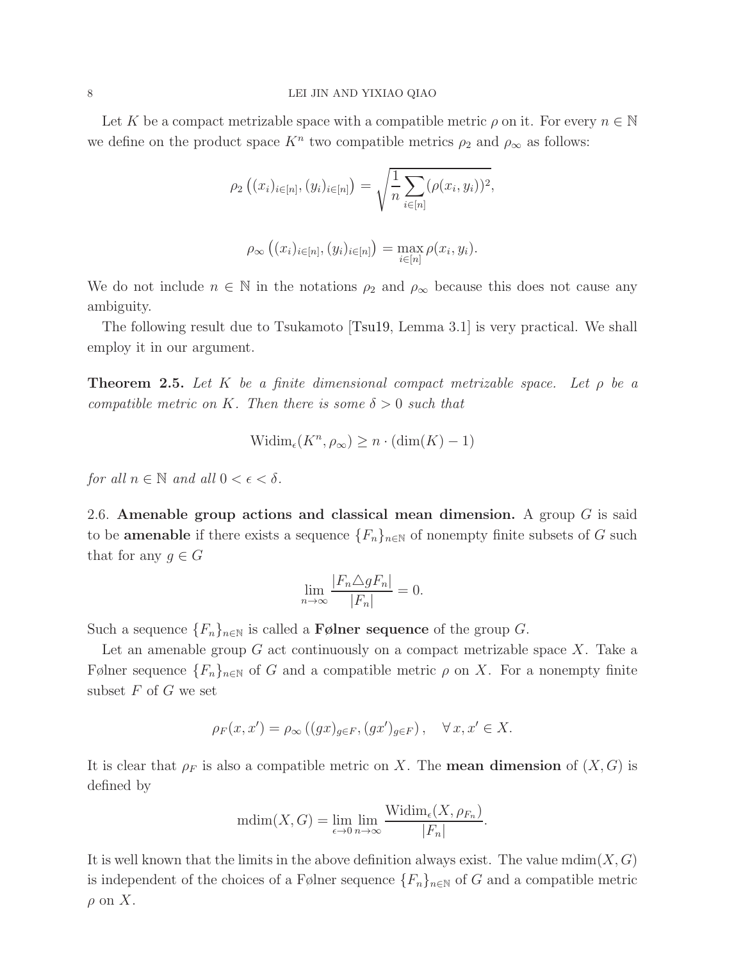Let K be a compact metrizable space with a compatible metric  $\rho$  on it. For every  $n \in \mathbb{N}$ we define on the product space  $K^n$  two compatible metrics  $\rho_2$  and  $\rho_\infty$  as follows:

$$
\rho_2 ((x_i)_{i \in [n]}, (y_i)_{i \in [n]}) = \sqrt{\frac{1}{n} \sum_{i \in [n]} (\rho(x_i, y_i))^2},
$$

$$
\rho_\infty ((x_i)_{i \in [n]}, (y_i)_{i \in [n]}) = \max_{i \in [n]} \rho(x_i, y_i).
$$

We do not include  $n \in \mathbb{N}$  in the notations  $\rho_2$  and  $\rho_\infty$  because this does not cause any ambiguity.

The following result due to Tsukamoto [\[Tsu19,](#page-20-0) Lemma 3.1] is very practical. We shall employ it in our argument.

<span id="page-7-0"></span>Theorem 2.5. *Let* K *be a finite dimensional compact metrizable space. Let* ρ *be a compatible metric on* K. Then there is some  $\delta > 0$  such that

$$
Widim_{\epsilon}(K^n, \rho_{\infty}) \geq n \cdot (dim(K) - 1)
$$

*for all*  $n \in \mathbb{N}$  *and all*  $0 < \epsilon < \delta$ *.* 

2.6. Amenable group actions and classical mean dimension. A group  $G$  is said to be **amenable** if there exists a sequence  ${F_n}_{n\in\mathbb{N}}$  of nonempty finite subsets of G such that for any  $g \in G$ 

$$
\lim_{n \to \infty} \frac{|F_n \triangle g F_n|}{|F_n|} = 0.
$$

Such a sequence  ${F_n}_{n\in\mathbb{N}}$  is called a **F**ølner sequence of the group G.

Let an amenable group  $G$  act continuously on a compact metrizable space  $X$ . Take a Følner sequence  $\{F_n\}_{n\in\mathbb{N}}$  of G and a compatible metric  $\rho$  on X. For a nonempty finite subset  $F$  of  $G$  we set

$$
\rho_F(x, x') = \rho_\infty((gx)_{g \in F}, (gx')_{g \in F}), \quad \forall x, x' \in X.
$$

It is clear that  $\rho_F$  is also a compatible metric on X. The **mean dimension** of  $(X, G)$  is defined by

$$
\mathrm{mdim}(X, G) = \lim_{\epsilon \to 0} \lim_{n \to \infty} \frac{\mathrm{Widim}_{\epsilon}(X, \rho_{F_n})}{|F_n|}.
$$

It is well known that the limits in the above definition always exist. The value  $\text{mdim}(X, G)$ is independent of the choices of a Følner sequence  $\{F_n\}_{n\in\mathbb{N}}$  of G and a compatible metric  $\rho$  on X.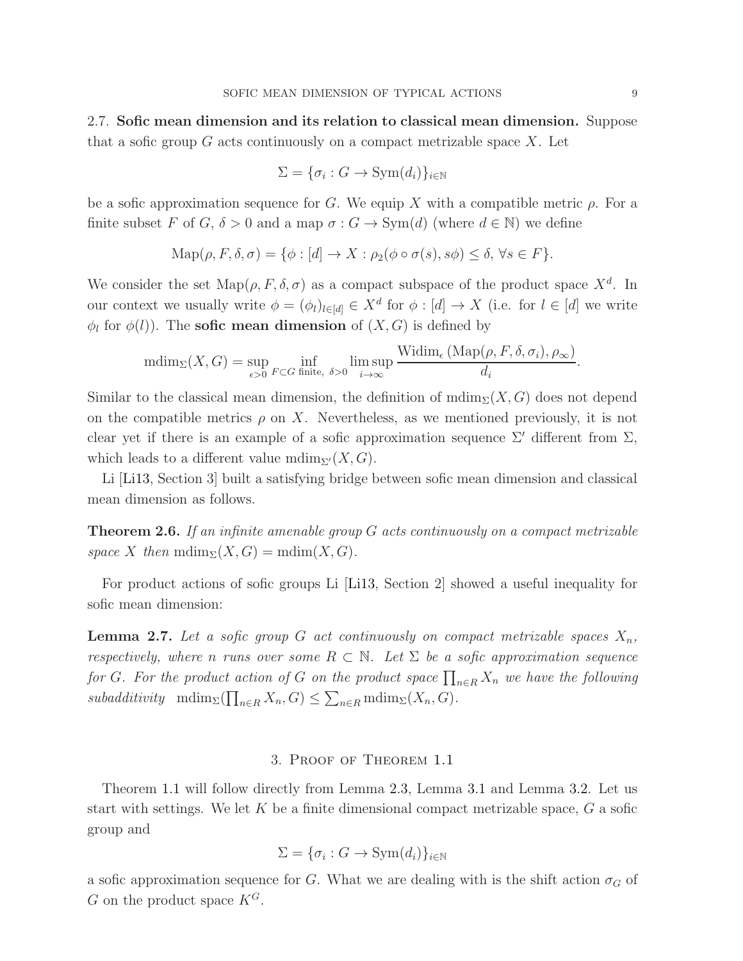2.7. Sofic mean dimension and its relation to classical mean dimension. Suppose that a sofic group  $G$  acts continuously on a compact metrizable space  $X$ . Let

$$
\Sigma = \{\sigma_i : G \to \text{Sym}(d_i)\}_{i \in \mathbb{N}}
$$

be a sofic approximation sequence for G. We equip X with a compatible metric  $\rho$ . For a finite subset F of G,  $\delta > 0$  and a map  $\sigma : G \to \text{Sym}(d)$  (where  $d \in \mathbb{N}$ ) we define

$$
\operatorname{Map}(\rho, F, \delta, \sigma) = \{ \phi : [d] \to X : \rho_2(\phi \circ \sigma(s), s\phi) \leq \delta, \forall s \in F \}.
$$

We consider the set  $\text{Map}(\rho, F, \delta, \sigma)$  as a compact subspace of the product space  $X^d$ . In our context we usually write  $\phi = (\phi_l)_{l \in [d]} \in X^d$  for  $\phi : [d] \to X$  (i.e. for  $l \in [d]$  we write  $\phi_l$  for  $\phi(l)$ ). The **sofic mean dimension** of  $(X, G)$  is defined by

$$
\text{mdim}_{\Sigma}(X, G) = \sup_{\epsilon > 0} \inf_{F \subset G} \inf_{\text{finite, } \delta > 0} \limsup_{i \to \infty} \frac{\text{Widim}_{\epsilon} (\text{Map}(\rho, F, \delta, \sigma_i), \rho_{\infty})}{d_i}.
$$

Similar to the classical mean dimension, the definition of  $\text{mdim}_{\Sigma}(X, G)$  does not depend on the compatible metrics  $\rho$  on X. Nevertheless, as we mentioned previously, it is not clear yet if there is an example of a sofic approximation sequence  $\Sigma'$  different from  $\Sigma$ , which leads to a different value  $\text{mdim}_{\Sigma'}(X, G)$ .

Li [\[Li13,](#page-20-2) Section 3] built a satisfying bridge between sofic mean dimension and classical mean dimension as follows.

Theorem 2.6. *If an infinite amenable group* G *acts continuously on a compact metrizable space* X *then*  $\text{mdim}_{\Sigma}(X, G) = \text{mdim}(X, G)$ *.* 

For product actions of sofic groups Li [\[Li13,](#page-20-2) Section 2] showed a useful inequality for sofic mean dimension:

<span id="page-8-0"></span>**Lemma 2.7.** Let a sofic group G act continuously on compact metrizable spaces  $X_n$ , *respectively, where* n *runs* over some  $R \subset \mathbb{N}$ . Let  $\Sigma$  be a sofic approximation sequence for *G*. For the product action of *G* on the product space  $\prod_{n\in R} X_n$  we have the following  $subadditivity \text{mdim}_{\Sigma}(\prod_{n\in R}X_n, G) \leq \sum_{n\in R} \text{mdim}_{\Sigma}(X_n, G).$ 

# 3. Proof of Theorem [1.1](#page-1-1)

Theorem [1.1](#page-1-1) will follow directly from Lemma [2.3,](#page-6-0) Lemma [3.1](#page-9-0) and Lemma [3.2.](#page-12-0) Let us start with settings. We let  $K$  be a finite dimensional compact metrizable space,  $G$  a sofic group and

$$
\Sigma = \{\sigma_i : G \to \text{Sym}(d_i)\}_{i \in \mathbb{N}}
$$

a sofic approximation sequence for G. What we are dealing with is the shift action  $\sigma_G$  of G on the product space  $K^G$ .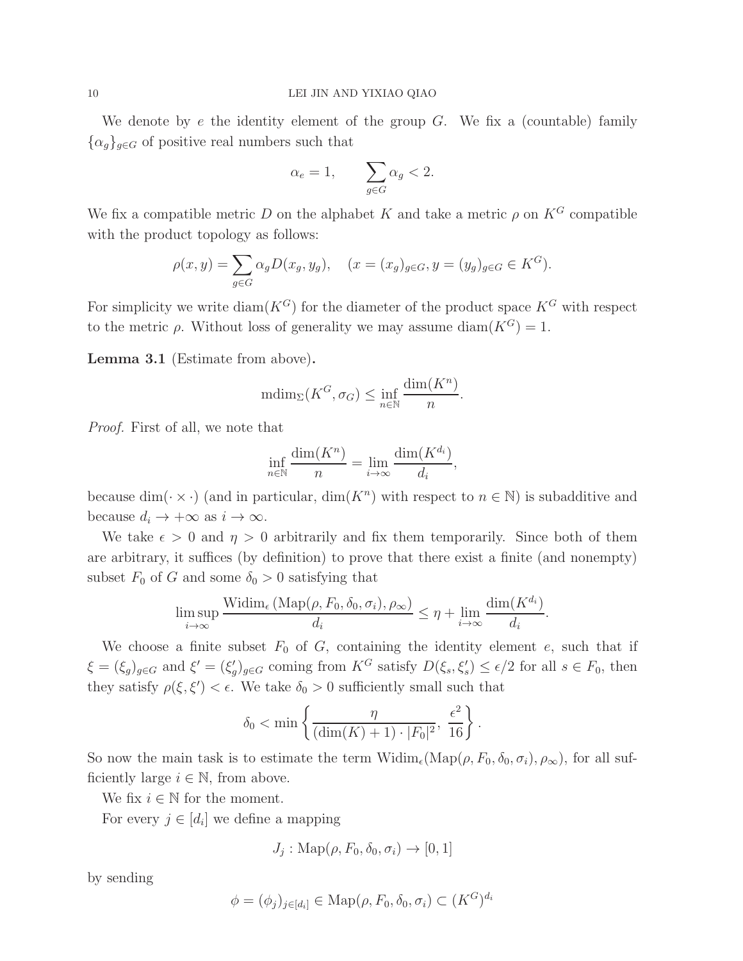We denote by  $e$  the identity element of the group  $G$ . We fix a (countable) family  $\{\alpha_q\}_{q\in G}$  of positive real numbers such that

$$
\alpha_e = 1, \qquad \sum_{g \in G} \alpha_g < 2.
$$

We fix a compatible metric D on the alphabet K and take a metric  $\rho$  on  $K^G$  compatible with the product topology as follows:

$$
\rho(x, y) = \sum_{g \in G} \alpha_g D(x_g, y_g), \quad (x = (x_g)_{g \in G}, y = (y_g)_{g \in G} \in K^G).
$$

For simplicity we write  $\text{diam}(K^G)$  for the diameter of the product space  $K^G$  with respect to the metric  $\rho$ . Without loss of generality we may assume diam( $K^G$ ) = 1.

<span id="page-9-0"></span>Lemma 3.1 (Estimate from above).

$$
\mathrm{mdim}_{\Sigma}(K^G, \sigma_G) \le \inf_{n \in \mathbb{N}} \frac{\mathrm{dim}(K^n)}{n}
$$

.

*Proof.* First of all, we note that

$$
\inf_{n \in \mathbb{N}} \frac{\dim(K^n)}{n} = \lim_{i \to \infty} \frac{\dim(K^{d_i})}{d_i},
$$

because  $\dim(\cdot \times \cdot)$  (and in particular,  $\dim(K^n)$  with respect to  $n \in \mathbb{N}$ ) is subadditive and because  $d_i \to +\infty$  as  $i \to \infty$ .

We take  $\epsilon > 0$  and  $\eta > 0$  arbitrarily and fix them temporarily. Since both of them are arbitrary, it suffices (by definition) to prove that there exist a finite (and nonempty) subset  $F_0$  of G and some  $\delta_0 > 0$  satisfying that

$$
\limsup_{i \to \infty} \frac{\text{Widim}_{\epsilon} \left( \text{Map}(\rho, F_0, \delta_0, \sigma_i), \rho_{\infty} \right)}{d_i} \le \eta + \lim_{i \to \infty} \frac{\dim(K^{d_i})}{d_i}.
$$

We choose a finite subset  $F_0$  of  $G$ , containing the identity element  $e$ , such that if  $\xi = (\xi_g)_{g \in G}$  and  $\xi' = (\xi'_g)_{g \in G}$  coming from  $K^G$  satisfy  $D(\xi_s, \xi'_s) \leq \epsilon/2$  for all  $s \in F_0$ , then they satisfy  $\rho(\xi, \xi') < \epsilon$ . We take  $\delta_0 > 0$  sufficiently small such that

$$
\delta_0 < \min\left\{\frac{\eta}{(\dim(K) + 1) \cdot |F_0|^2}, \frac{\epsilon^2}{16}\right\}.
$$

So now the main task is to estimate the term  $\text{Widim}_{\epsilon}(\text{Map}(\rho, F_0, \delta_0, \sigma_i), \rho_{\infty}),$  for all sufficiently large  $i \in \mathbb{N}$ , from above.

We fix  $i \in \mathbb{N}$  for the moment.

For every  $j \in [d_i]$  we define a mapping

$$
J_j: \mathrm{Map}(\rho, F_0, \delta_0, \sigma_i) \to [0, 1]
$$

by sending

$$
\phi = (\phi_j)_{j \in [d_i]} \in \text{Map}(\rho, F_0, \delta_0, \sigma_i) \subset (K^G)^{d_i}
$$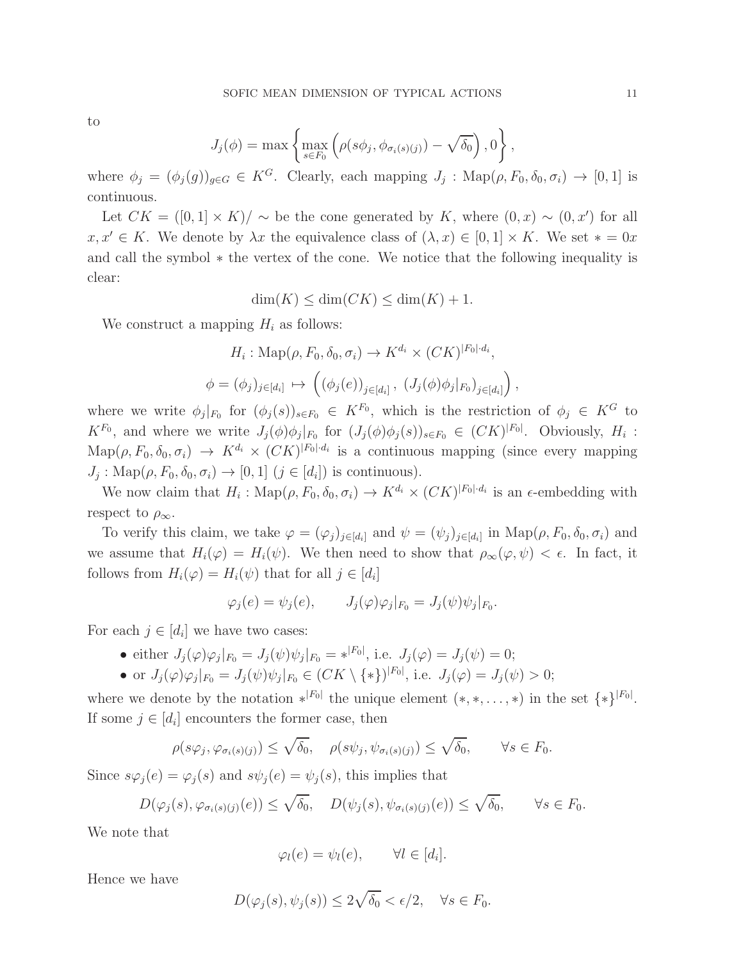to

$$
J_j(\phi) = \max \left\{ \max_{s \in F_0} \left( \rho(s\phi_j, \phi_{\sigma_i(s)(j)}) - \sqrt{\delta_0} \right), 0 \right\},\,
$$

where  $\phi_j = (\phi_j(g))_{g \in G} \in K^G$ . Clearly, each mapping  $J_j : \text{Map}(\rho, F_0, \delta_0, \sigma_i) \to [0, 1]$  is continuous.

Let  $CK = ([0,1] \times K)/\sim$  be the cone generated by K, where  $(0,x) \sim (0,x')$  for all  $x, x' \in K$ . We denote by  $\lambda x$  the equivalence class of  $(\lambda, x) \in [0, 1] \times K$ . We set  $* = 0x$ and call the symbol ∗ the vertex of the cone. We notice that the following inequality is clear:

$$
\dim(K) \le \dim(CK) \le \dim(K) + 1.
$$

We construct a mapping  $H_i$  as follows:

$$
H_i: \text{Map}(\rho, F_0, \delta_0, \sigma_i) \to K^{d_i} \times (CK)^{|F_0| \cdot d_i},
$$
  

$$
\phi = (\phi_j)_{j \in [d_i]} \mapsto ((\phi_j(e))_{j \in [d_i]}, (J_j(\phi)\phi_j|_{F_0})_{j \in [d_i]})
$$

where we write  $\phi_j|_{F_0}$  for  $(\phi_j(s))_{s\in F_0} \in K^{F_0}$ , which is the restriction of  $\phi_j \in K^G$  to  $K^{F_0}$ , and where we write  $J_j(\phi)\phi_j|_{F_0}$  for  $(J_j(\phi)\phi_j(s))_{s\in F_0} \in (CK)^{|F_0|}$ . Obviously,  $H_i$ :  $\text{Map}(\rho, F_0, \delta_0, \sigma_i) \rightarrow K^{d_i} \times (CK)^{|F_0| \cdot d_i}$  is a continuous mapping (since every mapping  $J_j: \text{Map}(\rho, F_0, \delta_0, \sigma_i) \to [0, 1] \ (j \in [d_i]) \text{ is continuous}.$ 

We now claim that  $H_i: \text{Map}(\rho, F_0, \delta_0, \sigma_i) \to K^{d_i} \times (CK)^{|F_0| \cdot d_i}$  is an  $\epsilon$ -embedding with respect to  $\rho_{\infty}$ .

To verify this claim, we take  $\varphi = (\varphi_j)_{j \in [d_i]}$  and  $\psi = (\psi_j)_{j \in [d_i]}$  in  $\text{Map}(\rho, F_0, \delta_0, \sigma_i)$  and we assume that  $H_i(\varphi) = H_i(\psi)$ . We then need to show that  $\rho_\infty(\varphi, \psi) < \epsilon$ . In fact, it follows from  $H_i(\varphi) = H_i(\psi)$  that for all  $j \in [d_i]$ 

$$
\varphi_j(e) = \psi_j(e), \qquad J_j(\varphi)\varphi_j|_{F_0} = J_j(\psi)\psi_j|_{F_0}.
$$

For each  $j \in [d_i]$  we have two cases:

- either  $J_j(\varphi)\varphi_j|_{F_0} = J_j(\psi)\psi_j|_{F_0} = *^{|F_0|}$ , i.e.  $J_j(\varphi) = J_j(\psi) = 0$ ;
- or  $J_j(\varphi)\varphi_j|_{F_0} = J_j(\psi)\psi_j|_{F_0} \in (CK \setminus \{*\})^{|F_0|}$ , i.e.  $J_j(\varphi) = J_j(\psi) > 0$ ;

where we denote by the notation  $*^{|F_0|}$  the unique element  $(*,*,...,*)$  in the set  $\{*\}^{|F_0|}$ . If some  $j \in [d_i]$  encounters the former case, then

$$
\rho(s\varphi_j, \varphi_{\sigma_i(s)(j)}) \leq \sqrt{\delta_0}, \quad \rho(s\psi_j, \psi_{\sigma_i(s)(j)}) \leq \sqrt{\delta_0}, \qquad \forall s \in F_0.
$$

Since  $s\varphi_i(e) = \varphi_i(s)$  and  $s\psi_i(e) = \psi_i(s)$ , this implies that

$$
D(\varphi_j(s), \varphi_{\sigma_i(s)(j)}(e)) \leq \sqrt{\delta_0}, \quad D(\psi_j(s), \psi_{\sigma_i(s)(j)}(e)) \leq \sqrt{\delta_0}, \qquad \forall s \in F_0.
$$

We note that

$$
\varphi_l(e) = \psi_l(e), \qquad \forall l \in [d_i].
$$

Hence we have

$$
D(\varphi_j(s), \psi_j(s)) \le 2\sqrt{\delta_0} < \epsilon/2, \quad \forall s \in F_0.
$$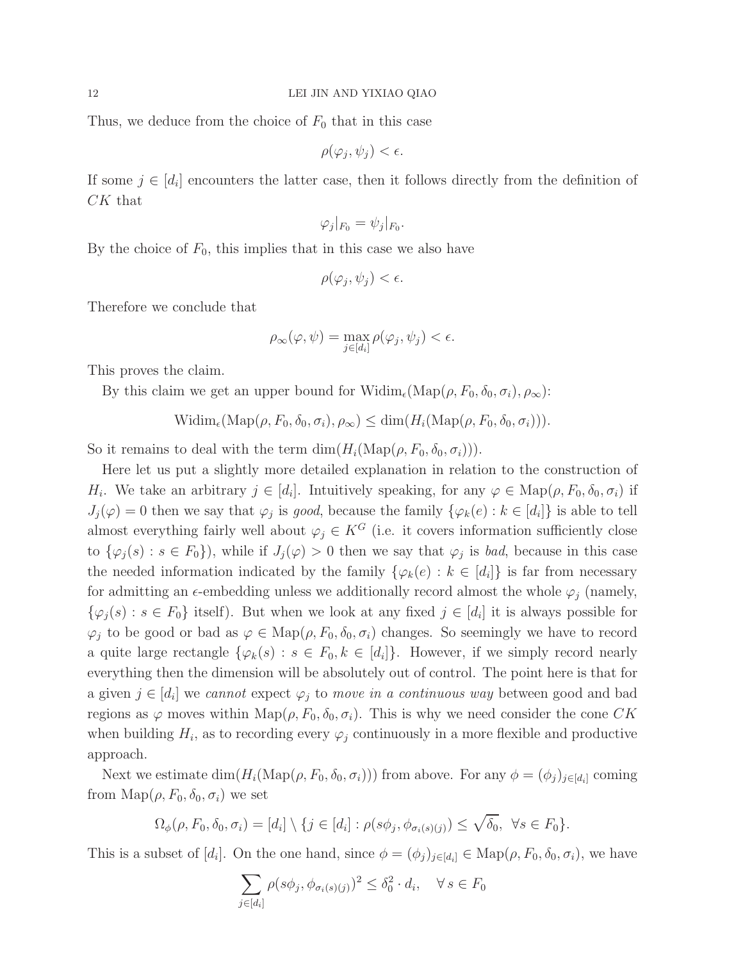Thus, we deduce from the choice of  $F_0$  that in this case

$$
\rho(\varphi_j, \psi_j) < \epsilon.
$$

If some  $j \in [d_i]$  encounters the latter case, then it follows directly from the definition of CK that

$$
\varphi_j|_{F_0}=\psi_j|_{F_0}.
$$

By the choice of  $F_0$ , this implies that in this case we also have

$$
\rho(\varphi_j, \psi_j) < \epsilon.
$$

Therefore we conclude that

$$
\rho_{\infty}(\varphi, \psi) = \max_{j \in [d_i]} \rho(\varphi_j, \psi_j) < \epsilon.
$$

This proves the claim.

By this claim we get an upper bound for  $\text{Widim}_{\epsilon}(\text{Map}(\rho, F_0, \delta_0, \sigma_i), \rho_{\infty})$ :

$$
Widim_{\epsilon}(\mathrm{Map}(\rho, F_0, \delta_0, \sigma_i), \rho_{\infty}) \leq \dim(H_i(\mathrm{Map}(\rho, F_0, \delta_0, \sigma_i))).
$$

So it remains to deal with the term  $\dim(H_i(\text{Map}(\rho, F_0, \delta_0, \sigma_i))).$ 

Here let us put a slightly more detailed explanation in relation to the construction of  $H_i$ . We take an arbitrary  $j \in [d_i]$ . Intuitively speaking, for any  $\varphi \in \text{Map}(\rho, F_0, \delta_0, \sigma_i)$  if  $J_j(\varphi) = 0$  then we say that  $\varphi_j$  is *good*, because the family  $\{\varphi_k(e) : k \in [d_i]\}$  is able to tell almost everything fairly well about  $\varphi_j \in K^G$  (i.e. it covers information sufficiently close to  $\{\varphi_j(s) : s \in F_0\}$ , while if  $J_j(\varphi) > 0$  then we say that  $\varphi_j$  is *bad*, because in this case the needed information indicated by the family  $\{\varphi_k(e) : k \in [d_i]\}$  is far from necessary for admitting an  $\epsilon$ -embedding unless we additionally record almost the whole  $\varphi_i$  (namely,  $\{\varphi_j(s) : s \in F_0\}$  itself). But when we look at any fixed  $j \in [d_i]$  it is always possible for  $\varphi_j$  to be good or bad as  $\varphi \in \text{Map}(\rho, F_0, \delta_0, \sigma_i)$  changes. So seemingly we have to record a quite large rectangle  $\{\varphi_k(s) : s \in F_0, k \in [d_i]\}\$ . However, if we simply record nearly everything then the dimension will be absolutely out of control. The point here is that for a given  $j \in [d_i]$  we *cannot* expect  $\varphi_j$  to *move in a continuous way* between good and bad regions as  $\varphi$  moves within Map( $\rho$ ,  $F_0$ ,  $\delta_0$ ,  $\sigma_i$ ). This is why we need consider the cone CK when building  $H_i$ , as to recording every  $\varphi_j$  continuously in a more flexible and productive approach.

Next we estimate  $\dim(H_i(\text{Map}(\rho, F_0, \delta_0, \sigma_i)))$  from above. For any  $\phi = (\phi_j)_{j \in [d_i]}$  coming from  $\text{Map}(\rho, F_0, \delta_0, \sigma_i)$  we set

$$
\Omega_{\phi}(\rho, F_0, \delta_0, \sigma_i) = [d_i] \setminus \{j \in [d_i] : \rho(s\phi_j, \phi_{\sigma_i(s)(j)}) \leq \sqrt{\delta_0}, \ \forall s \in F_0\}.
$$

This is a subset of  $[d_i]$ . On the one hand, since  $\phi = (\phi_j)_{j \in [d_i]} \in \text{Map}(\rho, F_0, \delta_0, \sigma_i)$ , we have

$$
\sum_{j \in [d_i]} \rho(s\phi_j, \phi_{\sigma_i(s)(j)})^2 \le \delta_0^2 \cdot d_i, \quad \forall s \in F_0
$$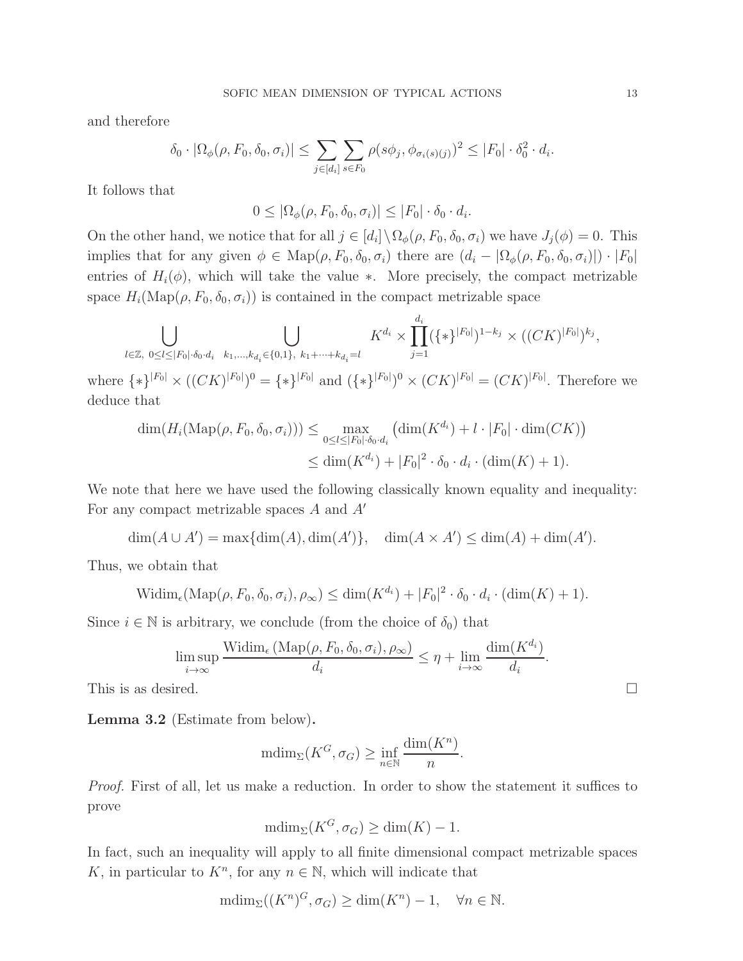and therefore

$$
\delta_0 \cdot |\Omega_{\phi}(\rho, F_0, \delta_0, \sigma_i)| \leq \sum_{j \in [d_i]} \sum_{s \in F_0} \rho(s\phi_j, \phi_{\sigma_i(s)(j)})^2 \leq |F_0| \cdot \delta_0^2 \cdot d_i.
$$

It follows that

$$
0 \leq |\Omega_{\phi}(\rho, F_0, \delta_0, \sigma_i)| \leq |F_0| \cdot \delta_0 \cdot d_i.
$$

On the other hand, we notice that for all  $j \in [d_i] \setminus \Omega_{\phi}(\rho, F_0, \delta_0, \sigma_i)$  we have  $J_j(\phi) = 0$ . This implies that for any given  $\phi \in \text{Map}(\rho, F_0, \delta_0, \sigma_i)$  there are  $(d_i - |\Omega_{\phi}(\rho, F_0, \delta_0, \sigma_i)|) \cdot |F_0|$ entries of  $H_i(\phi)$ , which will take the value ∗. More precisely, the compact metrizable space  $H_i(\text{Map}(\rho, F_0, \delta_0, \sigma_i))$  is contained in the compact metrizable space

$$
\bigcup_{l \in \mathbb{Z}, \ 0 \le l \le |F_0| \cdot \delta_0 \cdot d_i} \bigcup_{k_1, \dots, k_{d_i} \in \{0, 1\}, \ k_1 + \dots + k_{d_i} = l} K^{d_i} \times \prod_{j=1}^{d_i} (\{\ast\}^{|F_0|})^{1 - k_j} \times ((CK)^{|F_0|})^{k_j},
$$

where  $\{*\}^{|F_0|} \times ((CK)^{|F_0|})^0 = \{*\}^{|F_0|}$  and  $(\{*\}^{|F_0|})^0 \times (CK)^{|F_0|} = (CK)^{|F_0|}$ . Therefore we deduce that

$$
\dim(H_i(\mathrm{Map}(\rho, F_0, \delta_0, \sigma_i))) \leq \max_{0 \leq l \leq |F_0| \cdot \delta_0 \cdot d_i} \left( \dim(K^{d_i}) + l \cdot |F_0| \cdot \dim(CK) \right) \leq \dim(K^{d_i}) + |F_0|^2 \cdot \delta_0 \cdot d_i \cdot (\dim(K) + 1).
$$

We note that here we have used the following classically known equality and inequality: For any compact metrizable spaces A and A′

$$
\dim(A \cup A') = \max\{\dim(A), \dim(A')\}, \quad \dim(A \times A') \le \dim(A) + \dim(A').
$$

Thus, we obtain that

$$
\text{Widim}_{\epsilon}(\text{Map}(\rho, F_0, \delta_0, \sigma_i), \rho_{\infty}) \le \dim(K^{d_i}) + |F_0|^2 \cdot \delta_0 \cdot d_i \cdot (\dim(K) + 1).
$$

Since  $i \in \mathbb{N}$  is arbitrary, we conclude (from the choice of  $\delta_0$ ) that

$$
\limsup_{i \to \infty} \frac{\text{Widim}_{\epsilon} \left( \text{Map}(\rho, F_0, \delta_0, \sigma_i), \rho_{\infty} \right)}{d_i} \le \eta + \lim_{i \to \infty} \frac{\dim(K^{d_i})}{d_i}.
$$

This is as desired.  $\square$ 

<span id="page-12-0"></span>Lemma 3.2 (Estimate from below).

$$
\text{mdim}_{\Sigma}(K^G, \sigma_G) \ge \inf_{n \in \mathbb{N}} \frac{\text{dim}(K^n)}{n}.
$$

*Proof.* First of all, let us make a reduction. In order to show the statement it suffices to prove

$$
\mathrm{mdim}_{\Sigma}(K^G, \sigma_G) \ge \dim(K) - 1.
$$

In fact, such an inequality will apply to all finite dimensional compact metrizable spaces K, in particular to  $K<sup>n</sup>$ , for any  $n \in \mathbb{N}$ , which will indicate that

$$
\text{mdim}_{\Sigma}((K^n)^G, \sigma_G) \ge \text{dim}(K^n) - 1, \quad \forall n \in \mathbb{N}.
$$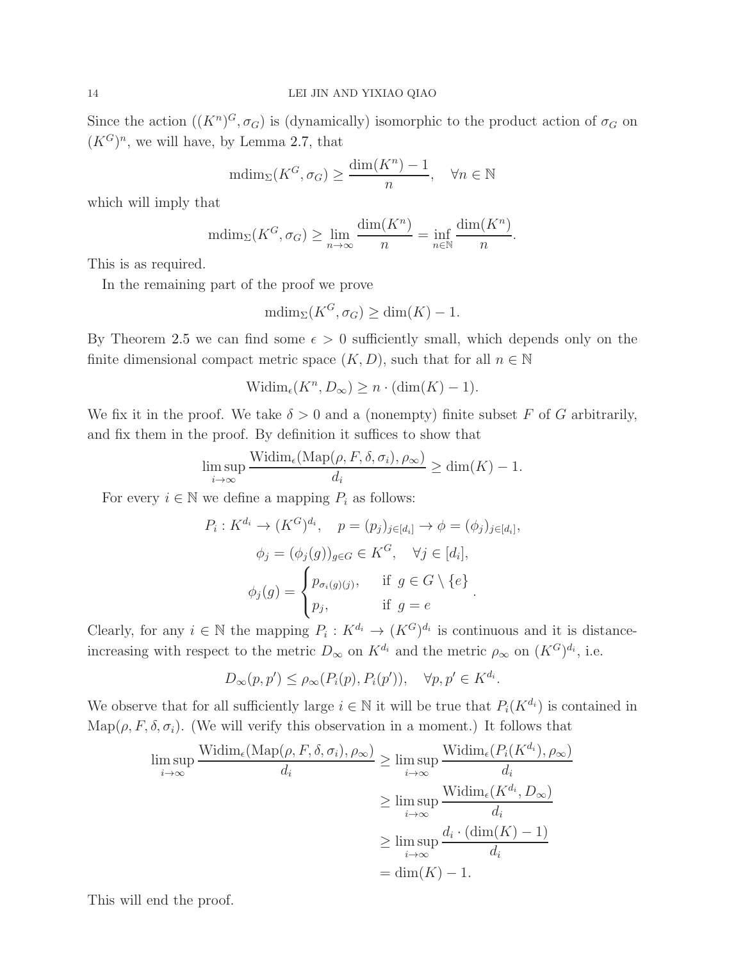Since the action  $((K^n)^G, \sigma_G)$  is (dynamically) isomorphic to the product action of  $\sigma_G$  on  $(K^G)^n$ , we will have, by Lemma [2.7,](#page-8-0) that

$$
\text{mdim}_{\Sigma}(K^G, \sigma_G) \ge \frac{\dim(K^n) - 1}{n}, \quad \forall n \in \mathbb{N}
$$

which will imply that

$$
\text{mdim}_{\Sigma}(K^G, \sigma_G) \ge \lim_{n \to \infty} \frac{\text{dim}(K^n)}{n} = \inf_{n \in \mathbb{N}} \frac{\text{dim}(K^n)}{n}.
$$

This is as required.

In the remaining part of the proof we prove

$$
\text{mdim}_{\Sigma}(K^G, \sigma_G) \ge \dim(K) - 1.
$$

By Theorem [2.5](#page-7-0) we can find some  $\epsilon > 0$  sufficiently small, which depends only on the finite dimensional compact metric space  $(K, D)$ , such that for all  $n \in \mathbb{N}$ 

$$
Widim_{\epsilon}(K^n, D_{\infty}) \geq n \cdot (\dim(K) - 1).
$$

We fix it in the proof. We take  $\delta > 0$  and a (nonempty) finite subset F of G arbitrarily, and fix them in the proof. By definition it suffices to show that

$$
\limsup_{i \to \infty} \frac{\text{Widim}_{\epsilon}(\text{Map}(\rho, F, \delta, \sigma_i), \rho_{\infty})}{d_i} \ge \dim(K) - 1.
$$

For every  $i \in \mathbb{N}$  we define a mapping  $P_i$  as follows:

$$
P_i: K^{d_i} \to (K^G)^{d_i}, \quad p = (p_j)_{j \in [d_i]} \to \phi = (\phi_j)_{j \in [d_i]},
$$

$$
\phi_j = (\phi_j(g))_{g \in G} \in K^G, \quad \forall j \in [d_i],
$$

$$
\phi_j(g) = \begin{cases} p_{\sigma_i(g)(j)}, & \text{if } g \in G \setminus \{e\} \\ p_j, & \text{if } g = e \end{cases}.
$$

Clearly, for any  $i \in \mathbb{N}$  the mapping  $P_i: K^{d_i} \to (K^G)^{d_i}$  is continuous and it is distanceincreasing with respect to the metric  $D_{\infty}$  on  $K^{d_i}$  and the metric  $\rho_{\infty}$  on  $(K^G)^{d_i}$ , i.e.

$$
D_{\infty}(p, p') \leq \rho_{\infty}(P_i(p), P_i(p')), \quad \forall p, p' \in K^{d_i}.
$$

We observe that for all sufficiently large  $i \in \mathbb{N}$  it will be true that  $P_i(K^{d_i})$  is contained in Map( $\rho, F, \delta, \sigma_i$ ). (We will verify this observation in a moment.) It follows that

$$
\limsup_{i \to \infty} \frac{\text{Width}_{\epsilon}(\text{Map}(\rho, F, \delta, \sigma_i), \rho_{\infty})}{d_i} \ge \limsup_{i \to \infty} \frac{\text{Width}_{\epsilon}(P_i(K^{d_i}), \rho_{\infty})}{d_i}
$$
\n
$$
\ge \limsup_{i \to \infty} \frac{\text{Width}_{\epsilon}(K^{d_i}, D_{\infty})}{d_i}
$$
\n
$$
\ge \limsup_{i \to \infty} \frac{d_i \cdot (\dim(K) - 1)}{d_i}
$$
\n
$$
= \dim(K) - 1.
$$

This will end the proof.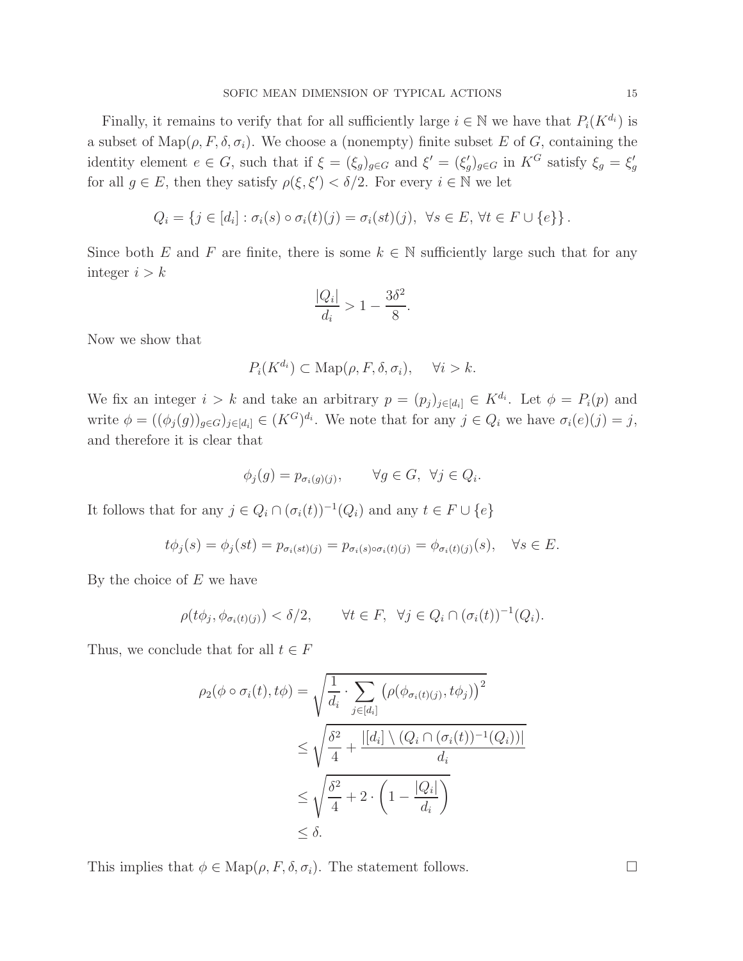Finally, it remains to verify that for all sufficiently large  $i \in \mathbb{N}$  we have that  $P_i(K^{d_i})$  is a subset of  $\text{Map}(\rho, F, \delta, \sigma_i)$ . We choose a (nonempty) finite subset E of G, containing the identity element  $e \in G$ , such that if  $\xi = (\xi_g)_{g \in G}$  and  $\xi' = (\xi'_g)_{g \in G}$  in  $K^G$  satisfy  $\xi_g = \xi'_g$ for all  $g \in E$ , then they satisfy  $\rho(\xi, \xi') < \delta/2$ . For every  $i \in \mathbb{N}$  we let

$$
Q_i = \{ j \in [d_i] : \sigma_i(s) \circ \sigma_i(t)(j) = \sigma_i(st)(j), \ \forall s \in E, \forall t \in F \cup \{e\} \}.
$$

Since both E and F are finite, there is some  $k \in \mathbb{N}$  sufficiently large such that for any integer  $i > k$ 

$$
\frac{|Q_i|}{d_i} > 1 - \frac{3\delta^2}{8}.
$$

Now we show that

$$
P_i(K^{d_i}) \subset \text{Map}(\rho, F, \delta, \sigma_i), \quad \forall i > k.
$$

We fix an integer  $i > k$  and take an arbitrary  $p = (p_j)_{j \in [d_i]} \in K^{d_i}$ . Let  $\phi = P_i(p)$  and write  $\phi = ((\phi_j(g))_{g \in G})_{j \in [d_i]} \in (K^G)^{d_i}$ . We note that for any  $j \in Q_i$  we have  $\sigma_i(e)(j) = j$ , and therefore it is clear that

$$
\phi_j(g) = p_{\sigma_i(g)(j)}, \qquad \forall g \in G, \ \forall j \in Q_i.
$$

It follows that for any  $j \in Q_i \cap (\sigma_i(t))^{-1}(Q_i)$  and any  $t \in F \cup \{e\}$ 

$$
t\phi_j(s) = \phi_j(st) = p_{\sigma_i(st)(j)} = p_{\sigma_i(s)\circ\sigma_i(t)(j)} = \phi_{\sigma_i(t)(j)}(s), \quad \forall s \in E.
$$

By the choice of  $E$  we have

$$
\rho(t\phi_j, \phi_{\sigma_i(t)(j)}) < \delta/2, \qquad \forall t \in F, \ \forall j \in Q_i \cap (\sigma_i(t))^{-1}(Q_i).
$$

Thus, we conclude that for all  $t \in F$ 

$$
\rho_2(\phi \circ \sigma_i(t), t\phi) = \sqrt{\frac{1}{d_i} \cdot \sum_{j \in [d_i]} \left( \rho(\phi_{\sigma_i(t)(j)}, t\phi_j) \right)^2}
$$
  
\n
$$
\leq \sqrt{\frac{\delta^2}{4} + \frac{|[d_i] \setminus (Q_i \cap (\sigma_i(t))^{-1}(Q_i))|}{d_i}}
$$
  
\n
$$
\leq \sqrt{\frac{\delta^2}{4} + 2 \cdot \left(1 - \frac{|Q_i|}{d_i}\right)}
$$
  
\n
$$
\leq \delta.
$$

This implies that  $\phi \in \text{Map}(\rho, F, \delta, \sigma_i)$ . The statement follows.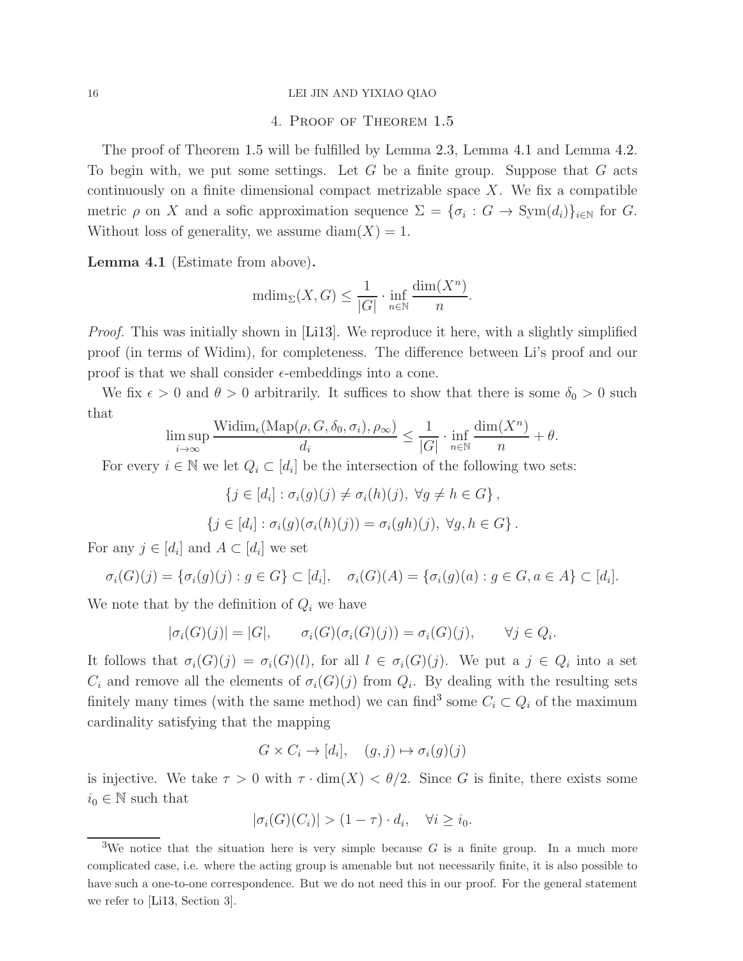### 16 LEI JIN AND YIXIAO QIAO

## 4. Proof of Theorem [1.5](#page-3-0)

The proof of Theorem [1.5](#page-3-0) will be fulfilled by Lemma [2.3,](#page-6-0) Lemma [4.1](#page-15-0) and Lemma [4.2.](#page-17-0) To begin with, we put some settings. Let  $G$  be a finite group. Suppose that  $G$  acts continuously on a finite dimensional compact metrizable space  $X$ . We fix a compatible metric  $\rho$  on X and a sofic approximation sequence  $\Sigma = {\sigma_i : G \to \text{Sym}(d_i)}_{i \in \mathbb{N}}$  for G. Without loss of generality, we assume diam $(X) = 1$ .

<span id="page-15-0"></span>Lemma 4.1 (Estimate from above).

$$
\mathrm{mdim}_{\Sigma}(X,G) \le \frac{1}{|G|} \cdot \inf_{n \in \mathbb{N}} \frac{\mathrm{dim}(X^n)}{n}.
$$

*Proof.* This was initially shown in [\[Li13\]](#page-20-2). We reproduce it here, with a slightly simplified proof (in terms of Widim), for completeness. The difference between Li's proof and our proof is that we shall consider  $\epsilon$ -embeddings into a cone.

We fix  $\epsilon > 0$  and  $\theta > 0$  arbitrarily. It suffices to show that there is some  $\delta_0 > 0$  such that

$$
\limsup_{i \to \infty} \frac{\text{Widim}_{\epsilon}(\text{Map}(\rho, G, \delta_0, \sigma_i), \rho_{\infty})}{d_i} \le \frac{1}{|G|} \cdot \inf_{n \in \mathbb{N}} \frac{\dim(X^n)}{n} + \theta.
$$

For every  $i \in \mathbb{N}$  we let  $Q_i \subset [d_i]$  be the intersection of the following two sets:

$$
\{j \in [d_i] : \sigma_i(g)(j) \neq \sigma_i(h)(j), \ \forall g \neq h \in G\},\
$$

$$
\{j \in [d_i] : \sigma_i(g)(\sigma_i(h)(j)) = \sigma_i(gh)(j), \ \forall g, h \in G\}.
$$

For any  $j \in [d_i]$  and  $A \subset [d_i]$  we set

$$
\sigma_i(G)(j) = \{\sigma_i(g)(j) : g \in G\} \subset [d_i], \quad \sigma_i(G)(A) = \{\sigma_i(g)(a) : g \in G, a \in A\} \subset [d_i].
$$

We note that by the definition of  $Q_i$  we have

$$
|\sigma_i(G)(j)| = |G|, \qquad \sigma_i(G)(\sigma_i(G)(j)) = \sigma_i(G)(j), \qquad \forall j \in Q_i.
$$

It follows that  $\sigma_i(G)(j) = \sigma_i(G)(l)$ , for all  $l \in \sigma_i(G)(j)$ . We put a  $j \in Q_i$  into a set  $C_i$  and remove all the elements of  $\sigma_i(G)(j)$  from  $Q_i$ . By dealing with the resulting sets finitely many times (with the same method) we can find<sup>[3](#page-15-1)</sup> some  $C_i \subset Q_i$  of the maximum cardinality satisfying that the mapping

$$
G \times C_i \to [d_i], \quad (g, j) \mapsto \sigma_i(g)(j)
$$

is injective. We take  $\tau > 0$  with  $\tau \cdot \dim(X) < \theta/2$ . Since G is finite, there exists some  $i_0 \in \mathbb{N}$  such that

$$
|\sigma_i(G)(C_i)| > (1 - \tau) \cdot d_i, \quad \forall i \ge i_0.
$$

<span id="page-15-1"></span><sup>&</sup>lt;sup>3</sup>We notice that the situation here is very simple because  $G$  is a finite group. In a much more complicated case, i.e. where the acting group is amenable but not necessarily finite, it is also possible to have such a one-to-one correspondence. But we do not need this in our proof. For the general statement we refer to [\[Li13,](#page-20-2) Section 3].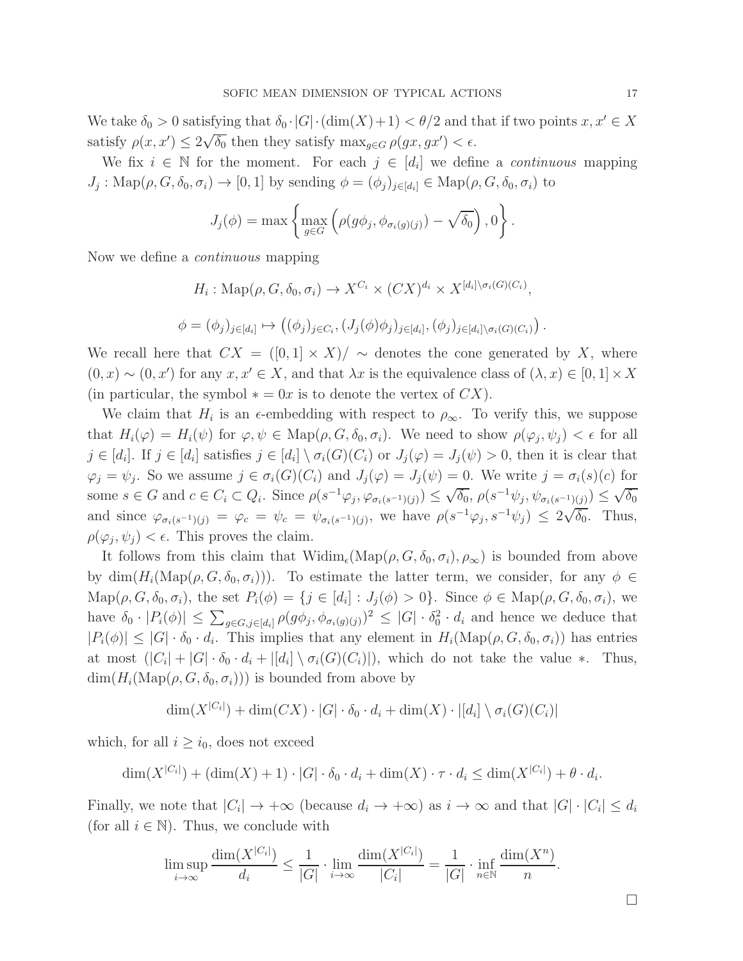We take  $\delta_0 > 0$  satisfying that  $\delta_0 \cdot |G| \cdot (\dim(X) + 1) < \theta/2$  and that if two points  $x, x' \in X$ satisfy  $\rho(x, x') \leq 2\sqrt{\delta_0}$  then they satisfy  $\max_{g \in G} \rho(gx, gx') < \epsilon$ .

We fix  $i \in \mathbb{N}$  for the moment. For each  $j \in [d_i]$  we define a *continuous* mapping  $J_j: \text{Map}(\rho, G, \delta_0, \sigma_i) \to [0, 1]$  by sending  $\phi = (\phi_j)_{j \in [d_i]} \in \text{Map}(\rho, G, \delta_0, \sigma_i)$  to

$$
J_j(\phi) = \max \left\{ \max_{g \in G} \left( \rho(g\phi_j, \phi_{\sigma_i(g)(j)}) - \sqrt{\delta_0} \right), 0 \right\}.
$$

Now we define a *continuous* mapping

$$
H_i: \text{Map}(\rho, G, \delta_0, \sigma_i) \to X^{C_i} \times (CX)^{d_i} \times X^{[d_i] \setminus \sigma_i(G)(C_i)},
$$
  

$$
\phi = (\phi_j)_{j \in [d_i]} \mapsto ((\phi_j)_{j \in C_i}, (J_j(\phi)\phi_j)_{j \in [d_i]}, (\phi_j)_{j \in [d_i] \setminus \sigma_i(G)(C_i)})
$$

We recall here that  $CX = (0,1] \times X)/\sim$  denotes the cone generated by X, where  $(0, x) \sim (0, x')$  for any  $x, x' \in X$ , and that  $\lambda x$  is the equivalence class of  $(\lambda, x) \in [0, 1] \times X$ (in particular, the symbol  $* = 0x$  is to denote the vertex of  $CX$ ).

We claim that  $H_i$  is an  $\epsilon$ -embedding with respect to  $\rho_{\infty}$ . To verify this, we suppose that  $H_i(\varphi) = H_i(\psi)$  for  $\varphi, \psi \in \text{Map}(\rho, G, \delta_0, \sigma_i)$ . We need to show  $\rho(\varphi_j, \psi_j) < \epsilon$  for all  $j \in [d_i]$ . If  $j \in [d_i]$  satisfies  $j \in [d_i] \setminus \sigma_i(G)(C_i)$  or  $J_j(\varphi) = J_j(\psi) > 0$ , then it is clear that  $\varphi_j = \psi_j$ . So we assume  $j \in \sigma_i(G)(C_i)$  and  $J_j(\varphi) = J_j(\psi) = 0$ . We write  $j = \sigma_i(s)(c)$  for some  $s \in G$  and  $c \in C_i \subset Q_i$ . Since  $\rho(s^{-1}\varphi_j, \varphi_{\sigma_i(s^{-1})(j)}) \leq \sqrt{\delta_0}, \rho(s^{-1}\psi_j, \psi_{\sigma_i(s^{-1})(j)}) \leq \sqrt{\delta_0}$ and since  $\varphi_{\sigma_i(s^{-1})(j)} = \varphi_c = \psi_c = \psi_{\sigma_i(s^{-1})(j)}$ , we have  $\rho(s^{-1}\varphi_j, s^{-1}\psi_j) \leq 2\sqrt{\delta_0}$ . Thus,  $\rho(\varphi_j, \psi_j) < \epsilon$ . This proves the claim.

It follows from this claim that  $\text{Widim}_{\epsilon}(\text{Map}(\rho, G, \delta_0, \sigma_i), \rho_{\infty})$  is bounded from above by  $\dim(H_i(\text{Map}(\rho, G, \delta_0, \sigma_i)))$ . To estimate the latter term, we consider, for any  $\phi \in$  $\text{Map}(\rho, G, \delta_0, \sigma_i)$ , the set  $P_i(\phi) = \{j \in [d_i] : J_j(\phi) > 0\}$ . Since  $\phi \in \text{Map}(\rho, G, \delta_0, \sigma_i)$ , we have  $\delta_0 \cdot |P_i(\phi)| \leq \sum_{g \in G, j \in [d_i]} \rho(g\phi_j, \phi_{\sigma_i(g)(j)})^2 \leq |G| \cdot \delta_0^2 \cdot d_i$  and hence we deduce that  $|P_i(\phi)| \leq |G| \cdot \delta_0 \cdot d_i$ . This implies that any element in  $H_i(\text{Map}(\rho, G, \delta_0, \sigma_i))$  has entries at most  $(|C_i| + |G| \cdot \delta_0 \cdot d_i + |[d_i] \setminus \sigma_i(G)(C_i)|)$ , which do not take the value  $*$ . Thus,  $\dim(H_i(\text{Map}(\rho, G, \delta_0, \sigma_i)))$  is bounded from above by

$$
\dim(X^{|C_i|}) + \dim(CX) \cdot |G| \cdot \delta_0 \cdot d_i + \dim(X) \cdot |[d_i] \setminus \sigma_i(G)(C_i)|
$$

which, for all  $i \geq i_0$ , does not exceed

$$
\dim(X^{|C_i|}) + (\dim(X) + 1) \cdot |G| \cdot \delta_0 \cdot d_i + \dim(X) \cdot \tau \cdot d_i \le \dim(X^{|C_i|}) + \theta \cdot d_i.
$$

Finally, we note that  $|C_i| \to +\infty$  (because  $d_i \to +\infty$ ) as  $i \to \infty$  and that  $|G| \cdot |C_i| \leq d_i$ (for all  $i \in \mathbb{N}$ ). Thus, we conclude with

$$
\limsup_{i \to \infty} \frac{\dim(X^{|C_i|})}{d_i} \le \frac{1}{|G|} \cdot \lim_{i \to \infty} \frac{\dim(X^{|C_i|})}{|C_i|} = \frac{1}{|G|} \cdot \inf_{n \in \mathbb{N}} \frac{\dim(X^n)}{n}.
$$

.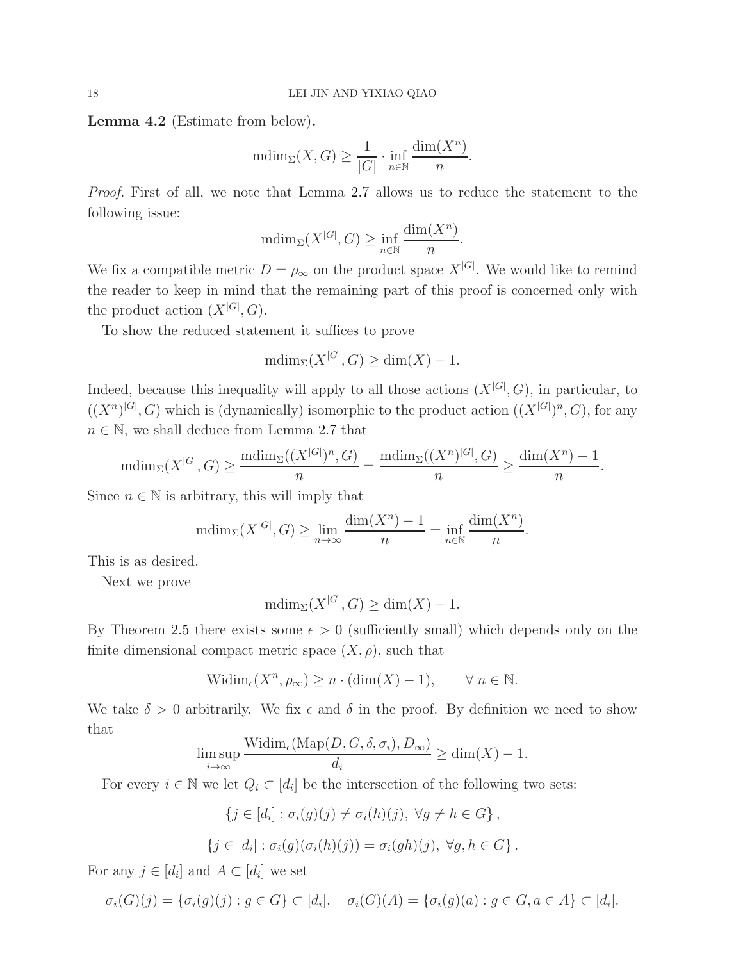<span id="page-17-0"></span>Lemma 4.2 (Estimate from below).

$$
{\rm mdim}_\Sigma(X,G)\geq \frac{1}{|G|}\cdot \inf_{n\in\mathbb{N}}\frac{{\rm dim}(X^n)}{n}.
$$

*Proof.* First of all, we note that Lemma [2.7](#page-8-0) allows us to reduce the statement to the following issue:

$$
\mathrm{mdim}_{\Sigma}(X^{|G|}, G) \ge \inf_{n \in \mathbb{N}} \frac{\mathrm{dim}(X^n)}{n}.
$$

We fix a compatible metric  $D = \rho_{\infty}$  on the product space  $X^{[G]}$ . We would like to remind the reader to keep in mind that the remaining part of this proof is concerned only with the product action  $(X^{|G|}, G)$ .

To show the reduced statement it suffices to prove

$$
\text{mdim}_{\Sigma}(X^{|G|}, G) \ge \dim(X) - 1.
$$

Indeed, because this inequality will apply to all those actions  $(X^{|G|}, G)$ , in particular, to  $((X^n)^{|G|}, G)$  which is (dynamically) isomorphic to the product action  $((X^{|G|})^n, G)$ , for any  $n \in \mathbb{N}$ , we shall deduce from Lemma [2.7](#page-8-0) that

$$
\mathrm{mdim}_{\Sigma}(X^{|G|}, G) \ge \frac{\mathrm{mdim}_{\Sigma}((X^{|G|})^n, G)}{n} = \frac{\mathrm{mdim}_{\Sigma}((X^n)^{|G|}, G)}{n} \ge \frac{\dim(X^n) - 1}{n}.
$$

Since  $n \in \mathbb{N}$  is arbitrary, this will imply that

$$
\mathrm{mdim}_{\Sigma}(X^{|G|}, G) \ge \lim_{n \to \infty} \frac{\mathrm{dim}(X^n) - 1}{n} = \inf_{n \in \mathbb{N}} \frac{\mathrm{dim}(X^n)}{n}.
$$

This is as desired.

Next we prove

$$
\text{mdim}_{\Sigma}(X^{|G|}, G) \ge \dim(X) - 1.
$$

By Theorem [2.5](#page-7-0) there exists some  $\epsilon > 0$  (sufficiently small) which depends only on the finite dimensional compact metric space  $(X, \rho)$ , such that

$$
Widim_{\epsilon}(X^n, \rho_{\infty}) \ge n \cdot (\dim(X) - 1), \qquad \forall n \in \mathbb{N}.
$$

We take  $\delta > 0$  arbitrarily. We fix  $\epsilon$  and  $\delta$  in the proof. By definition we need to show that

$$
\limsup_{i \to \infty} \frac{\text{Widim}_{\epsilon}(\text{Map}(D, G, \delta, \sigma_i), D_{\infty})}{d_i} \ge \dim(X) - 1.
$$

For every  $i \in \mathbb{N}$  we let  $Q_i \subset [d_i]$  be the intersection of the following two sets:

$$
\{j \in [d_i] : \sigma_i(g)(j) \neq \sigma_i(h)(j), \ \forall g \neq h \in G\},\
$$

$$
\{j \in [d_i] : \sigma_i(g)(\sigma_i(h)(j)) = \sigma_i(gh)(j), \ \forall g, h \in G\}.
$$

For any  $j \in [d_i]$  and  $A \subset [d_i]$  we set

$$
\sigma_i(G)(j) = \{\sigma_i(g)(j) : g \in G\} \subset [d_i], \quad \sigma_i(G)(A) = \{\sigma_i(g)(a) : g \in G, a \in A\} \subset [d_i].
$$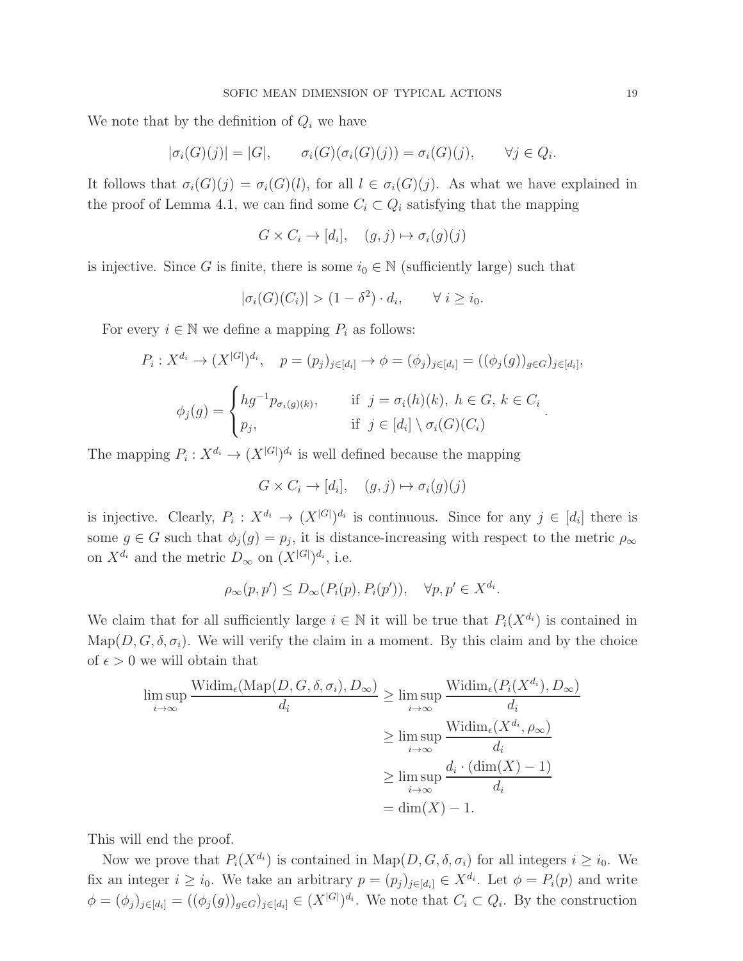We note that by the definition of  $Q_i$  we have

$$
|\sigma_i(G)(j)| = |G|, \qquad \sigma_i(G)(\sigma_i(G)(j)) = \sigma_i(G)(j), \qquad \forall j \in Q_i.
$$

It follows that  $\sigma_i(G)(j) = \sigma_i(G)(l)$ , for all  $l \in \sigma_i(G)(j)$ . As what we have explained in the proof of Lemma [4.1,](#page-15-0) we can find some  $C_i \subset Q_i$  satisfying that the mapping

$$
G \times C_i \to [d_i], \quad (g, j) \mapsto \sigma_i(g)(j)
$$

is injective. Since G is finite, there is some  $i_0 \in \mathbb{N}$  (sufficiently large) such that

$$
|\sigma_i(G)(C_i)| > (1 - \delta^2) \cdot d_i, \qquad \forall \ i \geq i_0.
$$

For every  $i \in \mathbb{N}$  we define a mapping  $P_i$  as follows:

$$
P_i: X^{d_i} \to (X^{|G|})^{d_i}, \quad p = (p_j)_{j \in [d_i]} \to \phi = (\phi_j)_{j \in [d_i]} = ((\phi_j(g))_{g \in G})_{j \in [d_i]},
$$

$$
\phi_j(g) = \begin{cases} hg^{-1}p_{\sigma_i(g)(k)}, & \text{if } j = \sigma_i(h)(k), \ h \in G, \ k \in C_i \\ p_j, & \text{if } j \in [d_i] \setminus \sigma_i(G)(C_i) \end{cases}.
$$

The mapping  $P_i: X^{d_i} \to (X^{|G|})^{d_i}$  is well defined because the mapping

$$
G \times C_i \to [d_i], \quad (g, j) \mapsto \sigma_i(g)(j)
$$

is injective. Clearly,  $P_i: X^{d_i} \to (X^{|G|})^{d_i}$  is continuous. Since for any  $j \in [d_i]$  there is some  $g \in G$  such that  $\phi_j(g) = p_j$ , it is distance-increasing with respect to the metric  $\rho_\infty$ on  $X^{d_i}$  and the metric  $D_{\infty}$  on  $(X^{|G|})^{d_i}$ , i.e.

$$
\rho_{\infty}(p, p') \le D_{\infty}(P_i(p), P_i(p')), \quad \forall p, p' \in X^{d_i}.
$$

We claim that for all sufficiently large  $i \in \mathbb{N}$  it will be true that  $P_i(X^{d_i})$  is contained in Map( $D, G, \delta, \sigma_i$ ). We will verify the claim in a moment. By this claim and by the choice of  $\epsilon > 0$  we will obtain that

$$
\limsup_{i \to \infty} \frac{\text{Widim}_{\epsilon}(\text{Map}(D, G, \delta, \sigma_i), D_{\infty})}{d_i} \ge \limsup_{i \to \infty} \frac{\text{Widim}_{\epsilon}(P_i(X^{d_i}), D_{\infty})}{d_i}
$$
\n
$$
\ge \limsup_{i \to \infty} \frac{\text{Widim}_{\epsilon}(X^{d_i}, \rho_{\infty})}{d_i}
$$
\n
$$
\ge \limsup_{i \to \infty} \frac{d_i \cdot (\dim(X) - 1)}{d_i}
$$
\n
$$
= \dim(X) - 1.
$$

This will end the proof.

Now we prove that  $P_i(X^{d_i})$  is contained in  $\text{Map}(D, G, \delta, \sigma_i)$  for all integers  $i \geq i_0$ . We fix an integer  $i \ge i_0$ . We take an arbitrary  $p = (p_j)_{j \in [d_i]} \in X^{d_i}$ . Let  $\phi = P_i(p)$  and write  $\phi = (\phi_j)_{j \in [d_i]} = ((\phi_j(g))_{g \in G})_{j \in [d_i]} \in (X^{|G|})^{d_i}$ . We note that  $C_i \subset Q_i$ . By the construction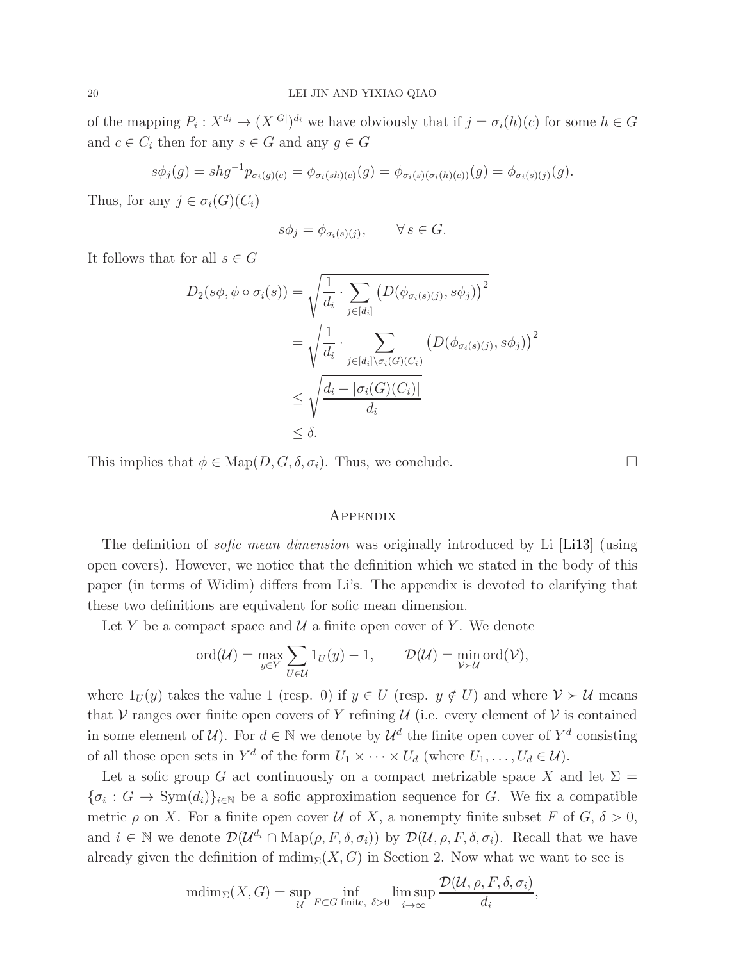of the mapping  $P_i: X^{d_i} \to (X^{|G|})^{d_i}$  we have obviously that if  $j = \sigma_i(h)(c)$  for some  $h \in G$ and  $c \in C_i$  then for any  $s \in G$  and any  $g \in G$ 

$$
s\phi_j(g) = shg^{-1}p_{\sigma_i(g)(c)} = \phi_{\sigma_i(sh)(c)}(g) = \phi_{\sigma_i(s)(\sigma_i(h)(c))}(g) = \phi_{\sigma_i(s)(j)}(g).
$$

Thus, for any  $j \in \sigma_i(G)(C_i)$ 

$$
s\phi_j = \phi_{\sigma_i(s)(j)}, \qquad \forall s \in G.
$$

It follows that for all  $s \in G$ 

$$
D_2(s\phi, \phi \circ \sigma_i(s)) = \sqrt{\frac{1}{d_i} \cdot \sum_{j \in [d_i]} \left( D(\phi_{\sigma_i(s)(j)}, s\phi_j) \right)^2}
$$
  
= 
$$
\sqrt{\frac{1}{d_i} \cdot \sum_{j \in [d_i] \setminus \sigma_i(G)(C_i)} \left( D(\phi_{\sigma_i(s)(j)}, s\phi_j) \right)^2}
$$
  

$$
\leq \sqrt{\frac{d_i - |\sigma_i(G)(C_i)|}{d_i}}
$$
  

$$
\leq \delta.
$$

This implies that  $\phi \in \text{Map}(D, G, \delta, \sigma_i)$ . Thus, we conclude.

### **APPENDIX**

The definition of *sofic mean dimension* was originally introduced by Li [\[Li13\]](#page-20-2) (using open covers). However, we notice that the definition which we stated in the body of this paper (in terms of Widim) differs from Li's. The appendix is devoted to clarifying that these two definitions are equivalent for sofic mean dimension.

Let Y be a compact space and  $\mathcal U$  a finite open cover of Y. We denote

$$
\mathrm{ord}(\mathcal{U})=\max_{y\in Y}\sum_{U\in\mathcal{U}}1_U(y)-1,\qquad \mathcal{D}(\mathcal{U})=\min_{\mathcal{V}\succ\mathcal{U}}\mathrm{ord}(\mathcal{V}),
$$

where  $1_U(y)$  takes the value 1 (resp. 0) if  $y \in U$  (resp.  $y \notin U$ ) and where  $V \succ U$  means that V ranges over finite open covers of Y refining  $\mathcal U$  (i.e. every element of V is contained in some element of  $\mathcal{U}$ ). For  $d \in \mathbb{N}$  we denote by  $\mathcal{U}^d$  the finite open cover of  $Y^d$  consisting of all those open sets in  $Y^d$  of the form  $U_1 \times \cdots \times U_d$  (where  $U_1, \ldots, U_d \in \mathcal{U}$ ).

Let a sofic group G act continuously on a compact metrizable space X and let  $\Sigma =$  ${\{\sigma_i: G \to \text{Sym}(d_i)\}_{i \in \mathbb{N}}}$  be a sofic approximation sequence for G. We fix a compatible metric  $\rho$  on X. For a finite open cover U of X, a nonempty finite subset F of G,  $\delta > 0$ , and  $i \in \mathbb{N}$  we denote  $\mathcal{D}(\mathcal{U}^{d_i} \cap \mathrm{Map}(\rho, F, \delta, \sigma_i))$  by  $\mathcal{D}(\mathcal{U}, \rho, F, \delta, \sigma_i)$ . Recall that we have already given the definition of  $\text{mdim}_{\Sigma}(X, G)$  in Section 2. Now what we want to see is

$$
\text{mdim}_{\Sigma}(X, G) = \sup_{\mathcal{U}} \inf_{F \subset G \text{ finite, } \delta > 0} \limsup_{i \to \infty} \frac{\mathcal{D}(\mathcal{U}, \rho, F, \delta, \sigma_i)}{d_i},
$$